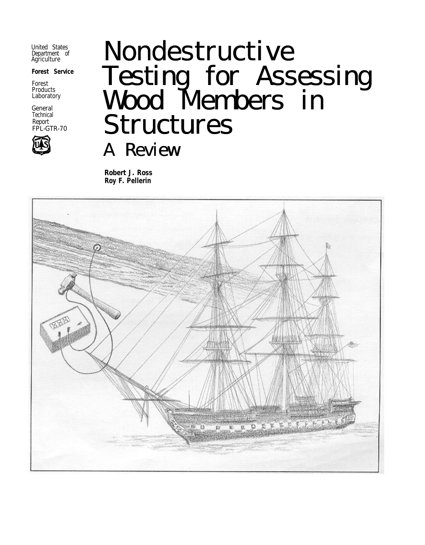United States Department of Agriculture

**Forest Service**

Forest Products Laboratory

General **Technical** Report FPL-GTR-70



# Nondestructive Testing for Assessing Wood Members in Structures A Review

**Robert J. Ross Roy F. Pellerin**

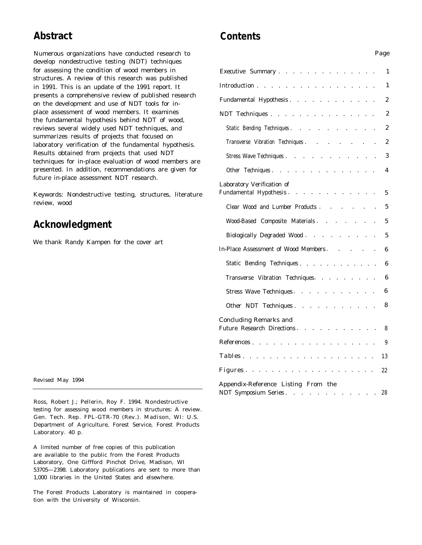# **Abstract**

Numerous organizations have conducted research to develop nondestructive testing (NDT) techniques for assessing the condition of wood members in structures. A review of this research was published in 1991. This is an update of the 1991 report. It presents a comprehensive review of published research on the development and use of NDT tools for inplace assessment of wood members. It examines the fundamental hypothesis behind NDT of wood, reviews several widely used NDT techniques, and summarizes results of projects that focused on laboratory verification of the fundamental hypothesis. Results obtained from projects that used NDT techniques for in-place evaluation of wood members are presented. In addition, recommendations are given for future in-place assessment NDT research.

Keywords: Nondestructive testing, structures, literature review, wood

# **Acknowledgment**

We thank Randy Kampen for the cover art

Revised May 1994

Ross, Robert J.; Pellerin, Roy F. 1994. Nondestructive testing for assessing wood members in structures: A review. Gen. Tech. Rep. FPL-GTR-70 (Rev.). Madison, WI: U.S. Department of Agriculture, Forest Service, Forest Products Laboratory. 40 p.

A limited number of free copies of this publication are available to the public from the Forest Products Laboratory, One Giffford Pinchot Drive, Madison, WI 53705—2398. Laboratory publications are sent to more than 1,000 libraries in the United States and elsewhere.

The Forest Products Laboratory is maintained in cooperation with the University of Wisconsin.

# **Contents**

| Executive Summary.<br>$\mathcal{A}$ , and $\mathcal{A}$ , and $\mathcal{A}$<br>and the contract of<br>$\sim$ | 1                |
|--------------------------------------------------------------------------------------------------------------|------------------|
| Introduction<br>$\sim$                                                                                       | 1                |
| Fundamental Hypothesis                                                                                       | 2                |
| NDT Techniques                                                                                               | 2                |
| Static Bending Techniques.                                                                                   | 2                |
| Transverse Vibration Techniques.                                                                             | $\boldsymbol{2}$ |
| Stress Wave Techniques                                                                                       | 3                |
| Other Techniques                                                                                             | 4                |
| Laboratory Verification of<br>Fundamental Hypothesis.<br>the contract of the contract of the                 | 5                |
| Clear Wood and Lumber Products.<br>and the contract of the                                                   | 5                |
| Wood-Based Composite Materials.                                                                              | 5                |
| Biologically Degraded Wood                                                                                   | 5                |
| In-Place Assessment of Wood Members.<br><b>Contract Contract</b>                                             | 6                |
| Static Bending Techniques.                                                                                   | 6                |
| Transverse Vibration Techniques.                                                                             | 6                |
| Stress Wave Techniques<br>$\mathcal{L}^{\text{max}}$ , and $\mathcal{L}^{\text{max}}$                        | 6                |
| Other NDT Techniques.<br>$\sim$                                                                              | 8                |
| <b>Concluding Remarks and</b><br>Future Research Directions                                                  | 8                |
| References<br>$\cdots$ $\cdots$<br>$\cdots$                                                                  | 9                |
| Tables.                                                                                                      | 13               |
| Figures.                                                                                                     | 22               |
| Appendix-Reference Listing From the<br>NDT Symposium Series.                                                 | 28               |

*Page*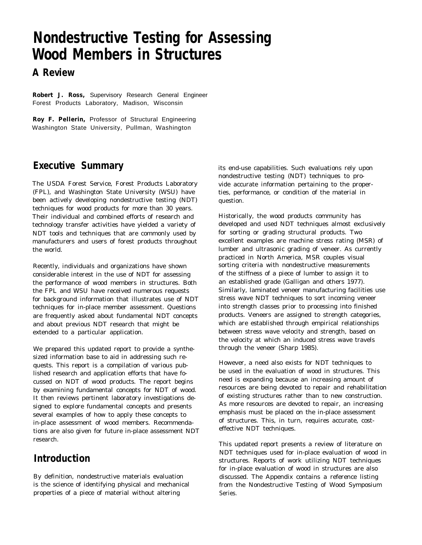# **Nondestructive Testing for Assessing Wood Members in Structures**

# **A Review**

**Robert J. Ross,** Supervisory Research General Engineer Forest Products Laboratory, Madison, Wisconsin

**Roy F. Pellerin,** Professor of Structural Engineering Washington State University, Pullman, Washington

# **Executive Summary**

The USDA Forest Service, Forest Products Laboratory (FPL), and Washington State University (WSU) have been actively developing nondestructive testing (NDT) techniques for wood products for more than 30 years. Their individual and combined efforts of research and technology transfer activities have yielded a variety of NDT tools and techniques that are commonly used by manufacturers and users of forest products throughout the world.

Recently, individuals and organizations have shown considerable interest in the use of NDT for assessing the performance of wood members in structures. Both the FPL and WSU have received numerous requests for background information that illustrates use of NDT techniques for in-place member assessment. Questions are frequently asked about fundamental NDT concepts and about previous NDT research that might be extended to a particular application.

We prepared this updated report to provide a synthesized information base to aid in addressing such requests. This report is a compilation of various published research and application efforts that have focussed on NDT of wood products. The report begins by examining fundamental concepts for NDT of wood. It then reviews pertinent laboratory investigations designed to explore fundamental concepts and presents several examples of how to apply these concepts to in-place assessment of wood members. Recommendations are also given for future in-place assessment NDT research.

# **Introduction**

By definition, nondestructive materials evaluation is the science of identifying physical and mechanical properties of a piece of material without altering

its end-use capabilities. Such evaluations rely upon nondestructive testing (NDT) techniques to provide accurate information pertaining to the properties, performance, or condition of the material in question.

Historically, the wood products community has developed and used NDT techniques almost exclusively for sorting or grading structural products. Two excellent examples are machine stress rating (MSR) of lumber and ultrasonic grading of veneer. As currently practiced in North America, MSR couples visual sorting criteria with nondestructive measurements of the stiffness of a piece of lumber to assign it to an established grade (Galligan and others 1977). Similarly, laminated veneer manufacturing facilities use stress wave NDT techniques to sort incoming veneer into strength classes prior to processing into finished products. Veneers are assigned to strength categories, which are established through empirical relationships between stress wave velocity and strength, based on the velocity at which an induced stress wave travels through the veneer (Sharp 1985).

However, a need also exists for NDT techniques to be used in the evaluation of wood in structures. This need is expanding because an increasing amount of resources are being devoted to repair and rehabilitation of existing structures rather than to new construction. As more resources are devoted to repair, an increasing emphasis must be placed on the in-place assessment of structures. This, in turn, requires accurate, costeffective NDT techniques.

This updated report presents a review of literature on NDT techniques used for in-place evaluation of wood in structures. Reports of work utilizing NDT techniques for in-place evaluation of wood in structures are also discussed. The Appendix contains a reference listing from the Nondestructive Testing of Wood Symposium Series.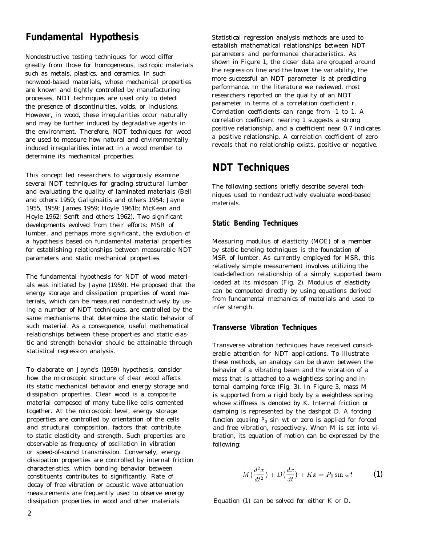# **Fundamental Hypothesis**

Nondestructive testing techniques for wood differ greatly from those for homogeneous, isotropic materials such as metals, plastics, and ceramics. In such nonwood-based materials, whose mechanical properties are known and tightly controlled by manufacturing processes, NDT techniques are used only to detect the presence of discontinuities, voids, or inclusions. However, in wood, these irregularities occur naturally and may be further induced by degradative agents in the environment. Therefore, NDT techniques for wood are used to measure how natural and environmentally induced irregularities interact in a wood member to determine its mechanical properties.

This concept led researchers to vigorously examine several NDT techniques for grading structural lumber and evaluating the quality of laminated materials (Bell and others 1950; Galiginaitis and others 1954; Jayne 1955, 1959; James 1959; Hoyle 1961b; McKean and Hoyle 1962; Senft and others 1962). Two significant developments evolved from their efforts: MSR of lumber, and perhaps more significant, the evolution of a hypothesis based on fundamental material properties for establishing relationships between measurable NDT parameters and static mechanical properties.

The fundamental hypothesis for NDT of wood materials was initiated by Jayne (1959). He proposed that the energy storage and dissipation properties of wood materials, which can be measured nondestructively by using a number of NDT techniques, are controlled by the same mechanisms that determine the static behavior of such material. As a consequence, useful mathematical relationships between these properties and static elastic and strength behavior should be attainable through statistical regression analysis.

To elaborate on Jayne's (1959) hypothesis, consider how the microscopic structure of clear wood affects its static mechanical behavior and energy storage and dissipation properties. Clear wood is a composite material composed of many tube-like cells cemented together. At the microscopic level, energy storage properties are controlled by orientation of the cells and structural composition, factors that contribute to static elasticity and strength. Such properties are observable as frequency of oscillation in vibration or speed-of-sound transmission. Conversely, energy dissipation properties are controlled by internal friction characteristics, which bonding behavior between constituents contributes to significantly. Rate of decay of free vibration or acoustic wave attenuation measurements are frequently used to observe energy dissipation properties in wood and other materials.

Statistical regression analysis methods are used to establish mathematical relationships between NDT parameters and performance characteristics. As shown in Figure 1, the closer data are grouped around the regression line and the lower the variability, the more successful an NDT parameter is at predicting performance. In the literature we reviewed, most researchers reported on the quality of an NDT parameter in terms of a correlation coefficient r. Correlation coefficients can range from -1 to 1. A correlation coefficient nearing 1 suggests a strong positive relationship, and a coefficient near 0.7 indicates a positive relationship. A correlation coefficient of zero reveals that no relationship exists, positive or negative.

# **NDT Techniques**

The following sections briefly describe several techniques used to nondestructively evaluate wood-based materials.

# **Static Bending Techniques**

Measuring modulus of elasticity (MOE) of a member by static bending techniques is the foundation of MSR of lumber. As currently employed for MSR, this relatively simple measurement involves utilizing the load-deflection relationship of a simply supported beam loaded at its midspan (Fig. 2). Modulus of elasticity can be computed directly by using equations derived from fundamental mechanics of materials and used to infer strength.

# **Transverse Vibration Techniques**

Transverse vibration techniques have received considerable attention for NDT applications. To illustrate these methods, an analogy can be drawn between the behavior of a vibrating beam and the vibration of a mass that is attached to a weightless spring and internal damping force (Fig. 3). In Figure 3, mass *M* is supported from a rigid body by a weightless spring whose stiffness is denoted by *K.* Internal friction or damping is represented by the dashpot *D.* A forcing function equaling  $P_0$  sin  $wt$  or zero is applied for forced and free vibration, respectively. When *M* is set into vibration, its equation of motion can be expressed by the following:

$$
M\left(\frac{d^2x}{dt^2}\right) + D\left(\frac{dx}{dt}\right) + Kx = P_0 \sin \omega t \tag{1}
$$

Equation (1) can be solved for either *K* or *D.*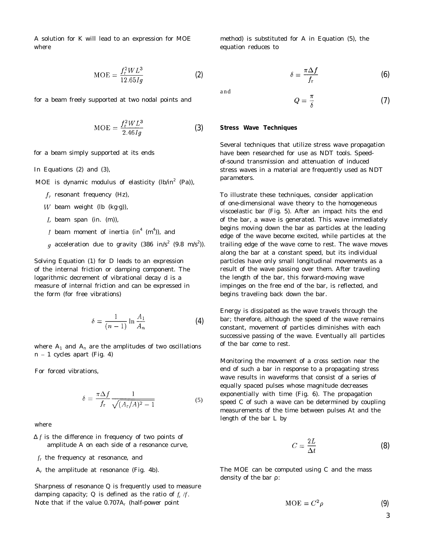A solution for *K* will lead to an expression for MOE method) is substituted for A in Equation (5), the where **equation reduces** to the equation reduces to the equation reduces to the equation reduces to the equation reduces to the equation reduces to the equation reduces to the equation reduces to the equation reduces to th

$$
MOE = \frac{f_r^2 WL^3}{12.65Ig}
$$
 (2)

for a beam freely supported at two nodal points and

$$
\text{MOE} = \frac{f_r^2 W L^3}{2.46 I g} \tag{3}
$$

for a beam simply supported at its ends

In Equations (2) and (3),

MOE is dynamic modulus of elasticity (lb/in<sup>2</sup> (Pa)),

- $f_r$  resonant frequency (Hz),
- W beam weight (lb  $(kg·g)$ ),
- $L$  beam span (in.  $(m)$ ),
- beam moment of inertia (in $^{4}$  (m $^{4}$ )), and
- acceleration due to gravity (386 in/s<sup>2</sup> (9.8 m/s<sup>2</sup>)).

Solving Equation (1) for D leads to an expression of the internal friction or damping component. The logarithmic decrement of vibrational decay d is a measure of internal friction and can be expressed in the form (for free vibrations)

$$
\delta = \frac{1}{(n-1)} \ln \frac{A_1}{A_n} \tag{4}
$$

where  $\rm A_{1}$  and  $\rm A_{n}$  are the amplitudes of two oscillations  $n - 1$  cycles apart (Fig. 4)

For forced vibrations,

$$
\delta = \frac{\pi \Delta f}{f_r} \frac{1}{\sqrt{(A_r/A)^2 - 1}}\tag{5}
$$

where

- Δ *f* is the difference in frequency of two points of amplitude A on each side of a resonance curve,
- *f*r the frequency at resonance, and
- *A*r the amplitude at resonance (Fig. 4b).

Sharpness of resonance *Q* is frequently used to measure damping capacity;  $Q$  is defined as the ratio of  $f_r$  /*f*. Note that if the value 0.707*A*<sup>r</sup> (half-power point

$$
\delta = \frac{\pi \Delta f}{f_{\rm r}} \tag{6}
$$

and

$$
Q = \frac{\pi}{\delta} \tag{7}
$$

#### **Stress Wave Techniques**

Several techniques that utilize stress wave propagation have been researched for use as NDT tools. Speedof-sound transmission and attenuation of induced stress waves in a material are frequently used as NDT parameters.

To illustrate these techniques, consider application of one-dimensional wave theory to the homogeneous viscoelastic bar (Fig. 5). After an impact hits the end of the bar, a wave is generated. This wave immediately begins moving down the bar as particles at the leading edge of the wave become excited, while particles at the trailing edge of the wave come to rest. The wave moves along the bar at a constant speed, but its individual particles have only small longitudinal movements as a result of the wave passing over them. After traveling the length of the bar, this forward-moving wave impinges on the free end of the bar, is reflected, and begins traveling back down the bar.

Energy is dissipated as the wave travels through the bar; therefore, although the speed of the wave remains constant, movement of particles diminishes with each successive passing of the wave. Eventually all particles of the bar come to rest.

Monitoring the movement of a cross section near the end of such a bar in response to a propagating stress wave results in waveforms that consist of a series of equally spaced pulses whose magnitude decreases exponentially with time (Fig. 6). The propagation speed *C* of such a wave can be determined by coupling measurements of the time between pulses At and the length of the bar *L* by

$$
C = \frac{2L}{\Delta t} \tag{8}
$$

The MOE can be computed using *C* and the mass density of the bar *r*:

$$
MOE = C^2 \rho \tag{9}
$$

3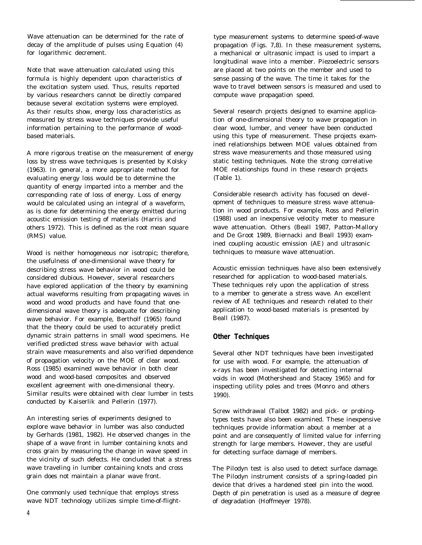Wave attenuation can be determined for the rate of decay of the amplitude of pulses using Equation (4) for logarithmic decrement.

Note that wave attenuation calculated using this formula is highly dependent upon characteristics of the excitation system used. Thus, results reported by various researchers cannot be directly compared because several excitation systems were employed. As their results show, energy loss characteristics as measured by stress wave techniques provide useful information pertaining to the performance of woodbased materials.

A more rigorous treatise on the measurement of energy loss by stress wave techniques is presented by Kolsky (1963). In general, a more appropriate method for evaluating energy loss would be to determine the quantity of energy imparted into a member and the corresponding rate of loss of energy. Loss of energy would be calculated using an integral of a waveform, as is done for determining the energy emitted during acoustic emission testing of materials (Harris and others 1972). This is defined as the root mean square (RMS) value.

Wood is neither homogeneous nor isotropic; therefore, the usefulness of one-dimensional wave theory for describing stress wave behavior in wood could be considered dubious. However, several researchers have explored application of the theory by examining actual waveforms resulting from propagating waves in wood and wood products and have found that onedimensional wave theory is adequate for describing wave behavior. For example, Bertholf (1965) found that the theory could be used to accurately predict dynamic strain patterns in small wood specimens. He verified predicted stress wave behavior with actual strain wave measurements and also verified dependence of propagation velocity on the MOE of clear wood. Ross (1985) examined wave behavior in both clear wood and wood-based composites and observed excellent agreement with one-dimensional theory. Similar results were obtained with clear lumber in tests conducted by Kaiserlik and Pellerin (1977).

An interesting series of experiments designed to explore wave behavior in lumber was also conducted by Gerhards (1981, 1982). He observed changes in the shape of a wave front in lumber containing knots and cross grain by measuring the change in wave speed in the vicinity of such defects. He concluded that a stress wave traveling in lumber containing knots and cross grain does not maintain a planar wave front.

One commonly used technique that employs stress wave NDT technology utilizes simple time-of-flighttype measurement systems to determine speed-of-wave propagation (Figs. 7,8). In these measurement systems, a mechanical or ultrasonic impact is used to impart a longitudinal wave into a member. Piezoelectric sensors are placed at two points on the member and used to sense passing of the wave. The time it takes for the wave to travel between sensors is measured and used to compute wave propagation speed.

Several research projects designed to examine application of one-dimensional theory to wave propagation in clear wood, lumber, and veneer have been conducted using this type of measurement. These projects examined relationships between MOE values obtained from stress wave measurements and those measured using static testing techniques. Note the strong correlative MOE relationships found in these research projects (Table 1).

Considerable research activity has focused on development of techniques to measure stress wave attenuation in wood products. For example, Ross and Pellerin (1988) used an inexpensive velocity meter to measure wave attenuation. Others (Beall 1987, Patton-Mallory and De Groot 1989, Biernacki and Beall 1993) examined coupling acoustic emission (AE) and ultrasonic techniques to measure wave attenuation.

Acoustic emission techniques have also been extensively researched for application to wood-based materials. These techniques rely upon the application of stress to a member to generate a stress wave. An excellent review of AE techniques and research related to their application to wood-based materials is presented by Beall (1987).

# **Other Techniques**

Several other NDT techniques have been investigated for use with wood. For example, the attenuation of x-rays has been investigated for detecting internal voids in wood (Mothershead and Stacey 1965) and for inspecting utility poles and trees (Monro and others 1990).

Screw withdrawal (Talbot 1982) and pick- or probingtypes tests have also been examined. These inexpensive techniques provide information about a member at a point and are consequently of limited value for inferring strength for large members. However, they are useful for detecting surface damage of members.

The Pilodyn test is also used to detect surface damage. The Pilodyn instrument consists of a spring-loaded pin device that drives a hardened steel pin into the wood. Depth of pin penetration is used as a measure of degree of degradation (Hoffmeyer 1978).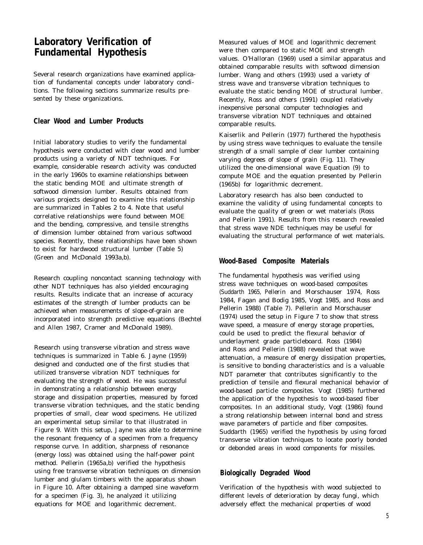# **Laboratory Verification of Fundamental Hypothesis**

Several research organizations have examined application of fundamental concepts under laboratory conditions. The following sections summarize results presented by these organizations.

# **Clear Wood and Lumber Products**

Initial laboratory studies to verify the fundamental hypothesis were conducted with clear wood and lumber products using a variety of NDT techniques. For example, considerable research activity was conducted in the early 1960s to examine relationships between the static bending MOE and ultimate strength of softwood dimension lumber. Results obtained from various projects designed to examine this relationship are summarized in Tables 2 to 4. Note that useful correlative relationships were found between MOE and the bending, compressive, and tensile strengths of dimension lumber obtained from various softwood species. Recently, these relationships have been shown to exist for hardwood structural lumber (Table 5) (Green and McDonald 1993a,b).

Research coupling noncontact scanning technology with other NDT techniques has also yielded encouraging results. Results indicate that an increase of accuracy estimates of the strength of lumber products can be achieved when measurements of slope-of-grain are incorporated into strength predictive equations (Bechtel and Allen 1987, Cramer and McDonald 1989).

Research using transverse vibration and stress wave techniques is summarized in Table 6. Jayne (1959) designed and conducted one of the first studies that utilized transverse vibration NDT techniques for evaluating the strength of wood. He was successful in demonstrating a relationship between energy storage and dissipation properties, measured by forced transverse vibration techniques, and the static bending properties of small, clear wood specimens. He utilized an experimental setup similar to that illustrated in Figure 9. With this setup, Jayne was able to determine the resonant frequency of a specimen from a frequency response curve. In addition, sharpness of resonance (energy loss) was obtained using the half-power point method. Pellerin (1965a,b) verified the hypothesis using free transverse vibration techniques on dimension lumber and glulam timbers with the apparatus shown in Figure 10. After obtaining a damped sine waveform for a specimen (Fig. 3), he analyzed it utilizing equations for MOE and logarithmic decrement.

Measured values of MOE and logarithmic decrement were then compared to static MOE and strength values. O'Halloran (1969) used a similar apparatus and obtained comparable results with softwood dimension lumber. Wang and others (1993) used a variety of stress wave and transverse vibration techniques to evaluate the static bending MOE of structural lumber. Recently, Ross and others (1991) coupled relatively inexpensive personal computer technologies and transverse vibration NDT techniques and obtained comparable results.

Kaiserlik and Pellerin (1977) furthered the hypothesis by using stress wave techniques to evaluate the tensile strength of a small sample of clear lumber containing varying degrees of slope of grain (Fig. 11). They utilized the one-dimensional wave Equation (9) to compute MOE and the equation presented by Pellerin (1965b) for logarithmic decrement.

Laboratory research has also been conducted to examine the validity of using fundamental concepts to evaluate the quality of green or wet materials (Ross and Pellerin 1991). Results from this research revealed that stress wave NDE techniques may be useful for evaluating the structural performance of wet materials.

# **Wood-Based Composite Materials**

The fundamental hypothesis was verified using stress wave techniques on wood-based composites (Suddarth 1965, Pellerin and Morschauser 1974, Ross 1984, Fagan and Bodig 1985, Vogt 1985, and Ross and Pellerin 1988) (Table 7). Pellerin and Morschauser (1974) used the setup in Figure 7 to show that stress wave speed, a measure of energy storage properties, could be used to predict the flexural behavior of underlayment grade particleboard. Ross (1984) and Ross and Pellerin (1988) revealed that wave attenuation, a measure of energy dissipation properties, is sensitive to bonding characteristics and is a valuable NDT parameter that contributes significantly to the prediction of tensile and flexural mechanical behavior of wood-based particle composites. Vogt (1985) furthered the application of the hypothesis to wood-based fiber composites. In an additional study, Vogt (1986) found a strong relationship between internal bond and stress wave parameters of particle and fiber composites. Suddarth (1965) verified the hypothesis by using forced transverse vibration techniques to locate poorly bonded or debonded areas in wood components for missiles.

# **Biologically Degraded Wood**

Verification of the hypothesis with wood subjected to different levels of deterioration by decay fungi, which adversely effect the mechanical properties of wood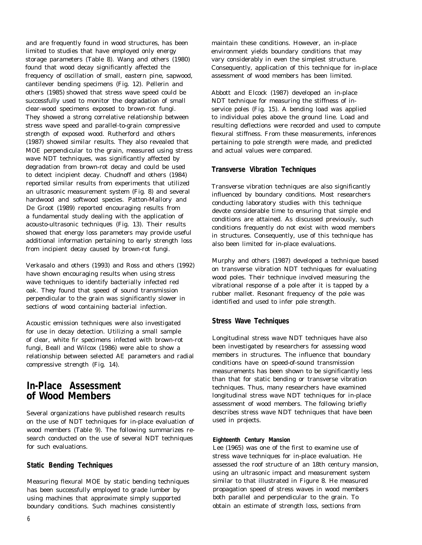and are frequently found in wood structures, has been limited to studies that have employed only energy storage parameters (Table 8). Wang and others (1980) found that wood decay significantly affected the frequency of oscillation of small, eastern pine, sapwood, cantilever bending specimens (Fig. 12). Pellerin and others (1985) showed that stress wave speed could be successfully used to monitor the degradation of small clear-wood specimens exposed to brown-rot fungi. They showed a strong correlative relationship between stress wave speed and parallel-to-grain compressive strength of exposed wood. Rutherford and others (1987) showed similar results. They also revealed that MOE perpendicular to the grain, measured using stress wave NDT techniques, was significantly affected by degradation from brown-rot decay and could be used to detect incipient decay. Chudnoff and others (1984) reported similar results from experiments that utilized an ultrasonic measurement system (Fig. 8) and several hardwood and softwood species. Patton-Mallory and De Groot (1989) reported encouraging results from a fundamental study dealing with the application of acousto-ultrasonic techniques (Fig. 13). Their results showed that energy loss parameters may provide useful additional information pertaining to early strength loss from incipient decay caused by brown-rot fungi.

Verkasalo and others (1993) and Ross and others (1992) have shown encouraging results when using stress wave techniques to identify bacterially infected red oak. They found that speed of sound transmission perpendicular to the grain was significantly slower in sections of wood containing bacterial infection.

Acoustic emission techniques were also investigated for use in decay detection. Utilizing a small sample of clear, white fir specimens infected with brown-rot fungi, Beall and Wilcox (1986) were able to show a relationship between selected AE parameters and radial compressive strength (Fig. 14).

# **In-Place Assessment of Wood Members**

Several organizations have published research results on the use of NDT techniques for in-place evaluation of wood members (Table 9). The following summarizes research conducted on the use of several NDT techniques for such evaluations.

# **Static Bending Techniques**

Measuring flexural MOE by static bending techniques has been successfully employed to grade lumber by using machines that approximate simply supported boundary conditions. Such machines consistently

maintain these conditions. However, an in-place environment yields boundary conditions that may vary considerably in even the simplest structure. Consequently, application of this technique for in-place assessment of wood members has been limited.

Abbott and Elcock (1987) developed an in-place NDT technique for measuring the stiffness of inservice poles (Fig. 15). A bending load was applied to individual poles above the ground line. Load and resulting deflections were recorded and used to compute flexural stiffness. From these measurements, inferences pertaining to pole strength were made, and predicted and actual values were compared.

# **Transverse Vibration Techniques**

Transverse vibration techniques are also significantly influenced by boundary conditions. Most researchers conducting laboratory studies with this technique devote considerable time to ensuring that simple end conditions are attained. As discussed previously, such conditions frequently do not exist with wood members in structures. Consequently, use of this technique has also been limited for in-place evaluations.

Murphy and others (1987) developed a technique based on transverse vibration NDT techniques for evaluating wood poles. Their technique involved measuring the vibrational response of a pole after it is tapped by a rubber mallet. Resonant frequency of the pole was identified and used to infer pole strength.

# **Stress Wave Techniques**

Longitudinal stress wave NDT techniques have also been investigated by researchers for assessing wood members in structures. The influence that boundary conditions have on speed-of-sound transmission measurements has been shown to be significantly less than that for static bending or transverse vibration techniques. Thus, many researchers have examined longitudinal stress wave NDT techniques for in-place assessment of wood members. The following briefly describes stress wave NDT techniques that have been used in projects.

# **Eighteenth Century Mansion**

Lee (1965) was one of the first to examine use of stress wave techniques for in-place evaluation. He assessed the roof structure of an 18th century mansion, using an ultrasonic impact and measurement system similar to that illustrated in Figure 8. He measured propagation speed of stress waves in wood members both parallel and perpendicular to the grain. To obtain an estimate of strength loss, sections from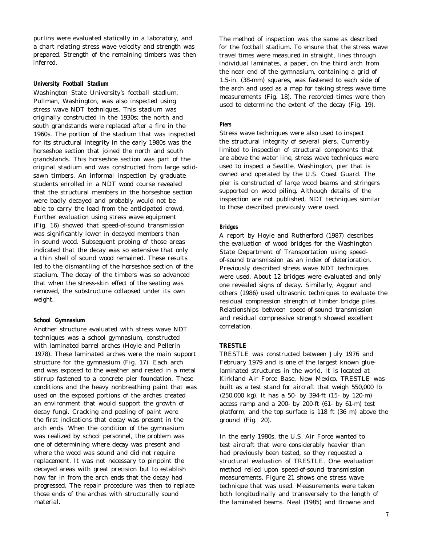purlins were evaluated statically in a laboratory, and a chart relating stress wave velocity and strength was prepared. Strength of the remaining timbers was then inferred.

# **University Football Stadium**

Washington State University's football stadium, Pullman, Washington, was also inspected using stress wave NDT techniques. This stadium was originally constructed in the 1930s; the north and south grandstands were replaced after a fire in the 1960s. The portion of the stadium that was inspected for its structural integrity in the early 1980s was the horseshoe section that joined the north and south grandstands. This horseshoe section was part of the original stadium and was constructed from large solidsawn timbers. An informal inspection by graduate students enrolled in a NDT wood course revealed that the structural members in the horseshoe section were badly decayed and probably would not be able to carry the load from the anticipated crowd. Further evaluation using stress wave equipment (Fig. 16) showed that speed-of-sound transmission was significantly lower in decayed members than in sound wood. Subsequent probing of those areas indicated that the decay was so extensive that only a thin shell of sound wood remained. These results led to the dismantling of the horseshoe section of the stadium. The decay of the timbers was so advanced that when the stress-skin effect of the seating was removed, the substructure collapsed under its own weight.

### **School Gymnasium**

Another structure evaluated with stress wave NDT techniques was a school gymnasium, constructed with laminated barrel arches (Hoyle and Pellerin 1978). These laminated arches were the main support structure for the gymnasium (Fig. 17). Each arch end was exposed to the weather and rested in a metal stirrup fastened to a concrete pier foundation. These conditions and the heavy nonbreathing paint that was used on the exposed portions of the arches created an environment that would support the growth of decay fungi. Cracking and peeling of paint were the first indications that decay was present in the arch ends. When the condition of the gymnasium was realized by school personnel, the problem was one of determining where decay was present and where the wood was sound and did not require replacement. It was not necessary to pinpoint the decayed areas with great precision but to establish how far in from the arch ends that the decay had progressed. The repair procedure was then to replace those ends of the arches with structurally sound material.

The method of inspection was the same as described for the football stadium. To ensure that the stress wave travel times were measured in straight, lines through individual laminates, a paper, on the third arch from the near end of the gymnasium, containing a grid of 1.5-in. (38-mm) squares, was fastened to each side of the arch and used as a map for taking stress wave time measurements (Fig. 18). The recorded times were then used to determine the extent of the decay (Fig. 19).

# **Piers**

Stress wave techniques were also used to inspect the structural integrity of several piers. Currently limited to inspection of structural components that are above the water line, stress wave techniques were used to inspect a Seattle, Washington, pier that is owned and operated by the U.S. Coast Guard. The pier is constructed of large wood beams and stringers supported on wood piling. Although details of the inspection are not published, NDT techniques similar to those described previously were used.

### **Bridges**

A report by Hoyle and Rutherford (1987) describes the evaluation of wood bridges for the Washington State Department of Transportation using speedof-sound transmission as an index of deterioration. Previously described stress wave NDT techniques were used. About 12 bridges were evaluated and only one revealed signs of decay. Similarly, Aggour and others (1986) used ultrasonic techniques to evaluate the residual compression strength of timber bridge piles. Relationships between speed-of-sound transmission and residual compressive strength showed excellent correlation.

# **TRESTLE**

TRESTLE was constructed between July 1976 and February 1979 and is one of the largest known gluelaminated structures in the world. It is located at Kirkland Air Force Base, New Mexico. TRESTLE was built as a test stand for aircraft that weigh 550,000 lb (250,000 kg). It has a 50- by 394-ft (15- by 120-m) access ramp and a 200- by 200-ft (61- by 61-m) test platform, and the top surface is 118 ft (36 m) above the ground (Fig. 20).

In the early 1980s, the U.S. Air Force wanted to test aircraft that were considerably heavier than had previously been tested, so they requested a structural evaluation of TRESTLE. One evaluation method relied upon speed-of-sound transmission measurements. Figure 21 shows one stress wave technique that was used. Measurements were taken both longitudinally and transversely to the length of the laminated beams. Neal (1985) and Browne and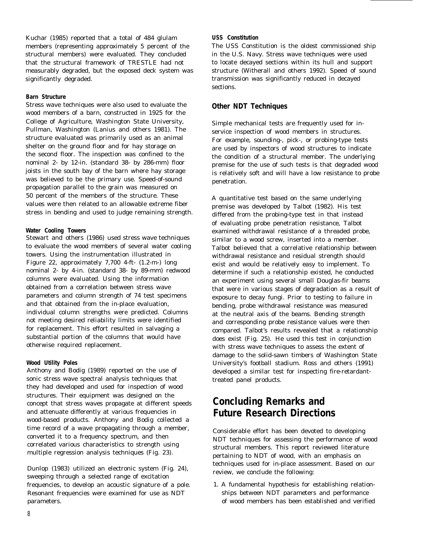Kuchar (1985) reported that a total of 484 glulam members (representing approximately 5 percent of the structural members) were evaluated. They concluded that the structural framework of TRESTLE had not measurably degraded, but the exposed deck system was significantly degraded.

# **Barn Structure**

Stress wave techniques were also used to evaluate the wood members of a barn, constructed in 1925 for the College of Agriculture, Washington State University, Pullman, Washington (Lanius and others 1981). The structure evaluated was primarily used as an animal shelter on the ground floor and for hay storage on the second floor. The inspection was confined to the nominal 2- by 12-in. (standard 38- by 286-mm) floor joists in the south bay of the barn where hay storage was believed to be the primary use. Speed-of-sound propagation parallel to the grain was measured on 50 percent of the members of the structure. These values were then related to an allowable extreme fiber stress in bending and used to judge remaining strength.

# **Water Cooling Towers**

Stewart and others (1986) used stress wave techniques to evaluate the wood members of several water cooling towers. Using the instrumentation illustrated in Figure 22, approximately 7,700 4-ft- (1.2-m-) long nominal 2- by 4-in. (standard 38- by 89-mm) redwood columns were evaluated. Using the information obtained from a correlation between stress wave parameters and column strength of 74 test specimens and that obtained from the in-place evaluation, individual column strengths were predicted. Columns not meeting desired reliability limits were identified for replacement. This effort resulted in salvaging a substantial portion of the columns that would have otherwise required replacement.

# **Wood Utility Poles**

Anthony and Bodig (1989) reported on the use of sonic stress wave spectral analysis techniques that they had developed and used for inspection of wood structures. Their equipment was designed on the concept that stress waves propagate at different speeds and attenuate differently at various frequencies in wood-based products. Anthony and Bodig collected a time record of a wave propagating through a member, converted it to a frequency spectrum, and then correlated various characteristics to strength using multiple regression analysis techniques (Fig. 23).

Dunlop (1983) utilized an electronic system (Fig. 24), sweeping through a selected range of excitation frequencies, to develop an acoustic signature of a pole. Resonant frequencies were examined for use as NDT parameters.

# **USS Constitution**

The USS Constitution is the oldest commissioned ship in the U.S. Navy. Stress wave techniques were used to locate decayed sections within its hull and support structure (Witherall and others 1992). Speed of sound transmission was significantly reduced in decayed sections.

# **Other NDT Techniques**

Simple mechanical tests are frequently used for inservice inspection of wood members in structures. For example, sounding-, pick-, or probing-type tests are used by inspectors of wood structures to indicate the condition of a structural member. The underlying premise for the use of such tests is that degraded wood is relatively soft and will have a low resistance to probe penetration.

A quantitative test based on the same underlying premise was developed by Talbot (1982). His test differed from the probing-type test in that instead of evaluating probe penetration resistance, Talbot examined withdrawal resistance of a threaded probe, similar to a wood screw, inserted into a member. Talbot believed that a correlative relationship between withdrawal resistance and residual strength should exist and would be relatively easy to implement. To determine if such a relationship existed, he conducted an experiment using several small Douglas-fir beams that were in various stages of degradation as a result of exposure to decay fungi. Prior to testing to failure in bending, probe withdrawal resistance was measured at the neutral axis of the beams. Bending strength and corresponding probe resistance values were then compared. Talbot's results revealed that a relationship does exist (Fig. 25). He used this test in conjunction with stress wave techniques to assess the extent of damage to the solid-sawn timbers of Washington State University's football stadium. Ross and others (1991) developed a similar test for inspecting fire-retardanttreated panel products.

# **Concluding Remarks and Future Research Directions**

Considerable effort has been devoted to developing NDT techniques for assessing the performance of wood structural members. This report reviewed literature pertaining to NDT of wood, with an emphasis on techniques used for in-place assessment. Based on our review, we conclude the following:

1. A fundamental hypothesis for establishing relationships between NDT parameters and performance of wood members has been established and verified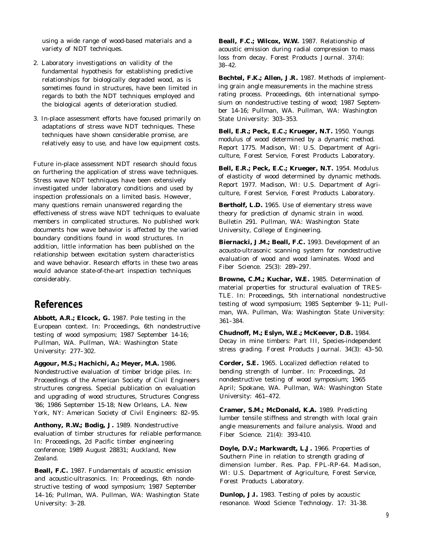using a wide range of wood-based materials and a variety of NDT techniques.

- 2. Laboratory investigations on validity of the fundamental hypothesis for establishing predictive relationships for biologically degraded wood, as is sometimes found in structures, have been limited in regards to both the NDT techniques employed and the biological agents of deterioration studied.
- 3. In-place assessment efforts have focused primarily on adaptations of stress wave NDT techniques. These techniques have shown considerable promise, are relatively easy to use, and have low equipment costs.

Future in-place assessment NDT research should focus on furthering the application of stress wave techniques. Stress wave NDT techniques have been extensively investigated under laboratory conditions and used by inspection professionals on a limited basis. However, many questions remain unanswered regarding the effectiveness of stress wave NDT techniques to evaluate members in complicated structures. No published work documents how wave behavior is affected by the varied boundary conditions found in wood structures. In addition, little information has been published on the relationship between excitation system characteristics and wave behavior. Research efforts in these two areas would advance state-of-the-art inspection techniques considerably.

# **References**

**Abbott, A.R.; Elcock, G.** 1987. Pole testing in the European context. In: Proceedings, 6th nondestructive testing of wood symposium; 1987 September 14-16; Pullman, WA. Pullman, WA: Washington State University: 277–302.

**Aggour, M.S.; Hachichi, A.; Meyer, M.A.** 1986. Nondestructive evaluation of timber bridge piles. In: Proceedings of the American Society of Civil Engineers structures congress. Special publication on evaluation and upgrading of wood structures, Structures Congress '86; 1986 September 15-18; New Orleans, LA. New York, NY: American Society of Civil Engineers: 82–95.

**Anthony, R.W.; Bodig, J.** 1989. Nondestructive evaluation of timber structures for reliable performance. In: Proceedings, 2d Pacific timber engineering conference; 1989 August 28831; Auckland, New Zealand.

**Beall, F.C.** 1987. Fundamentals of acoustic emission and acoustic-ultrasonics. In: Proceedings, 6th nondestructive testing of wood symposium; 1987 September 14–16; Pullman, WA. Pullman, WA: Washington State University: 3–28.

**Beall, F.C.; Wilcox, W.W.** 1987. Relationship of acoustic emission during radial compression to mass loss from decay. Forest Products Journal. 37(4): 38–42.

**Bechtel, F.K.; Allen, J.R.** 1987. Methods of implementing grain angle measurements in the machine stress rating process. Proceedings, 6th international symposium on nondestructive testing of wood; 1987 September 14-16; Pullman, WA. Pullman, WA: Washington State University: 303–353.

**Bell, E.R.; Peck, E.C.; Krueger, N.T.** 1950. Youngs modulus of wood determined by a dynamic method. Report 1775. Madison, WI: U.S. Department of Agriculture, Forest Service, Forest Products Laboratory.

**Bell, E.R.; Peck, E.C.; Krueger, N.T.** 1954. Modulus of elasticity of wood determined by dynamic methods. Report 1977. Madison, WI: U.S. Department of Agriculture, Forest Service, Forest Products Laboratory.

**Bertholf, L.D.** 1965. Use of elementary stress wave theory for prediction of dynamic strain in wood. Bulletin 291. Pullman, WA: Washington State University, College of Engineering.

**Biernacki, J.M.; Beall, F.C.** 1993. Development of an acousto-ultrasonic scanning system for nondestructive evaluation of wood and wood laminates. Wood and Fiber Science. 25(3): 289–297.

**Browne, C.M.; Kuchar, W.E.** 1985. Determination of material properties for structural evaluation of TRES-TLE. In: Proceedings, 5th international nondestructive testing of wood symposium; 1985 September 9–11; Pullman, WA. Pullman, Wa: Washington State University: 361–384.

**Chudnoff, M.; Eslyn, W.E.; McKeever, D.B.** 1984. Decay in mine timbers: Part III, Species-independent stress grading. Forest Products Journal. 34(3): 43–50.

**Corder, S.E.** 1965. Localized deflection related to bending strength of lumber. In: Proceedings, 2d nondestructive testing of wood symposium; 1965 April; Spokane, WA. Pullman, WA: Washington State University: 461–472.

**Cramer, S.M.; McDonald, K.A.** 1989. Predicting lumber tensile stiffness and strength with local grain angle measurements and failure analysis. Wood and Fiber Science. 21(4): 393-410.

**Doyle, D.V.; Markwardt, L.J.** 1966. Properties of Southern Pine in relation to strength grading of dimension lumber. Res. Pap. FPL-RP-64. Madison, WI: U.S. Department of Agriculture, Forest Service, Forest Products Laboratory.

**Dunlop, J.I.** 1983. Testing of poles by acoustic resonance. Wood Science Technology. 17: 31-38.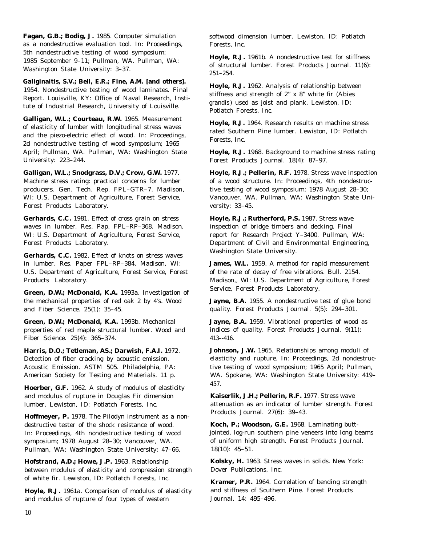**Fagan, G.B.; Bodig, J.** 1985. Computer simulation as a nondestructive evaluation tool. In: Proceedings, 5th nondestructive testing of wood symposium; 1985 September 9–11; Pullman, WA. Pullman, WA: Washington State University: 3–37.

**Galiginaitis, S.V.; Bell, E.R.; Fine, A.M. [and others].** 1954. Nondestructive testing of wood laminates. Final Report. Louisville, KY: Office of Naval Research, Institute of Industrial Research, University of Louisville.

**Galligan, W.L.; Courteau, R.W.** 1965. Measurement of elasticity of lumber with longitudinal stress waves and the piezo-electric effect of wood. In: Proceedings, 2d nondestructive testing of wood symposium; 1965 April; Pullman, WA. Pullman, WA: Washington State University: 223–244.

producers. Gen. Tech. Rep. FPL–GTR–7. Madison, tive testing of wood symposium; 1978 August 28–30; Forest Products Laboratory. versity: 33-45.

**Gerhards, C.C.** 1981. Effect of cross grain on stress waves in lumber. Res. Pap. FPL–RP–368. Madison, WI: U.S. Department of Agriculture, Forest Service, Forest Products Laboratory.

**Gerhards, C.C.** 1982. Effect of knots on stress waves in lumber. Res. Paper FPL–RP–384. Madison, WI: U.S. Department of Agriculture, Forest Service, Forest Products Laboratory.

**Green, D.W.; McDonald, K.A.** 1993a. Investigation of the mechanical properties of red oak 2 by 4's. Wood and Fiber Science. 25(1): 35–45.

**Green, D.W.; McDonald, K.A.** 1993b. Mechanical properties of red maple structural lumber. Wood and Fiber Science. 25(4): 365–374.

**Harris, D.O.; Tetleman, AS.; Darwish, F.A.I.** 1972. Detection of fiber cracking by acoustic emission. Acoustic Emission. ASTM 505. Philadelphia, PA: American Society for Testing and Materials. 11 p.

**Hoerber, G.F.** 1962. A study of modulus of elasticity and modulus of rupture in Douglas Fir dimension lumber. Lewiston, ID: Potlatch Forests, Inc.

**Hoffmeyer, P.** 1978. The Pilodyn instrument as a nondestructive tester of the shock resistance of wood. In: Proceedings, 4th nondestructive testing of wood symposium; 1978 August 28–30; Vancouver, WA. Pullman, WA: Washington State University: 47–66.

**Hofstrand, A.D.; Howe, J.P.** 1963. Relationship between modulus of elasticity and compression strength of white fir. Lewiston, ID: Potlatch Forests, Inc.

**Hoyle, R.J.** 1961a. Comparison of modulus of elasticity and modulus of rupture of four types of western

softwood dimension lumber. Lewiston, ID: Potlatch Forests, Inc.

**Hoyle, R.J.** 1961b. A nondestructive test for stiffness of structural lumber. Forest Products Journal. 11(6):  $251 - 254$ .

**Hoyle, R.J.** 1962. Analysis of relationship between stiffness and strength of 2" x 8" white fir (*Abies grandis* ) used as joist and plank. Lewiston, ID: Potlatch Forests, Inc.

**Hoyle, R.J.** 1964. Research results on machine stress rated Southern Pine lumber. Lewiston, ID: Potlatch Forests, Inc.

**Hoyle, R.J.** 1968. Background to machine stress rating Forest Products Journal. 18(4): 87–97.

**Galligan, W.L.; Snodgrass, D.V.; Crow, G.W.** 1977. **Hoyle, R.J.; Pellerin, R.F.** 1978. Stress wave inspection Machine stress rating: practical concerns for lumber of a wood structure. In: Proceedings, 4th nondestruc-WI: U.S. Department of Agriculture, Forest Service, Vancouver, WA. Pullman, WA: Washington State Uni-

> **Hoyle, R.J.; Rutherford, P.S.** 1987. Stress wave inspection of bridge timbers and decking. Final report for Research Project Y–3400. Pullman, WA: Department of Civil and Environmental Engineering, Washington State University.

> **James, W.L.** 1959. A method for rapid measurement of the rate of decay of free vibrations. Bull. 2154. Madison,, WI: U.S. Department of Agriculture, Forest Service, Forest Products Laboratory.

> Jayne, B.A. 1955. A nondestructive test of glue bond quality. Forest Products Journal. 5(5): 294–301.

Jayne, B.A. 1959. Vibrational properties of wood as indices of quality. Forest Products Journal. 9(11): 413–-416.

**Johnson, J.W.** 1965. Relationships among moduli of elasticity and rupture. In: Proceedings, 2d nondestructive testing of wood symposium; 1965 April; Pullman, WA. Spokane, WA: Washington State University: 419– 457.

**Kaiserlik, J.H.; Pellerin, R.F.** 1977. Stress wave attenuation as an indicator of lumber strength. Forest Products Journal. 27(6): 39–43.

**Koch, P.; Woodson, G.E.** 1968. Laminating buttjointed, log-run southern pine veneers into long beams of uniform high strength. Forest Products Journal. 18(10): 45–51.

**Kolsky, H.** 1963. Stress waves in solids. New York: Dover Publications, Inc.

**Kramer, P.R.** 1964. Correlation of bending strength and stiffness of Southern Pine. Forest Products Journal. 14: 495–496.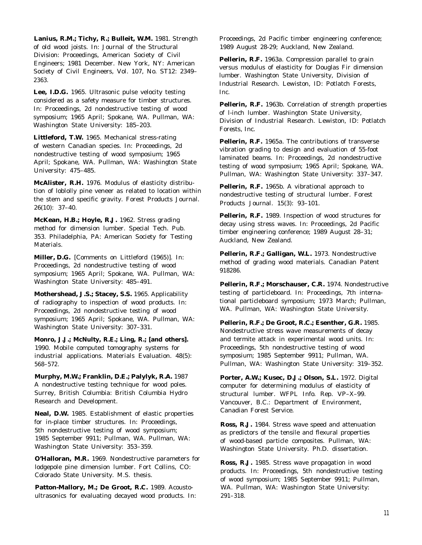Lanius, R.M.; Tichy, R.; Bulleit, W.M. 1981. Strength of old wood joists. In: Journal of the Structural Division: Proceedings, American Society of Civil Engineers; 1981 December. New York, NY: American Society of Civil Engineers, Vol. 107, No. ST12: 2349– 2363.

**Lee, I.D.G.** 1965. Ultrasonic pulse velocity testing considered as a safety measure for timber structures. In: Proceedings, 2d nondestructive testing of wood symposium; 1965 April; Spokane, WA. Pullman, WA: Washington State University: 185–203.

**Littleford, T.W.** 1965. Mechanical stress-rating of western Canadian species. In: Proceedings, 2d nondestructive testing of wood symposium; 1965 April; Spokane, WA. Pullman, WA: Washington State University: 475–485.

**McAlister, R.H.** 1976. Modulus of elasticity distribution of loblolly pine veneer as related to location within the stem and specific gravity. Forest Products Journal. 26(10): 37–40.

**McKean, H.B.; Hoyle, R.J.** 1962. Stress grading method for dimension lumber. Special Tech. Pub. 353. Philadelphia, PA: American Society for Testing Materials.

**Miller, D.G.** [Comments on Littleford (1965)]. In: Proceedings, 2d nondestructive testing of wood symposium; 1965 April; Spokane, WA. Pullman, WA: Washington State University: 485–491.

**Mothershead, J.S.; Stacey, S.S.** 1965. Applicability of radiography to inspection of wood products. In: Proceedings, 2d nondestructive testing of wood symposium; 1965 April; Spokane, WA. Pullman, WA: Washington State University: 307–331.

**Monro, J.J.; McNulty, R.E.; Ling, R.; [and others].** 1990. Mobile computed tomography systems for industrial applications. Materials Evaluation. 48(5): 568–572.

**Murphy, M.W.; Franklin, D.E.; Palylyk, R.A.** 1987 A nondestructive testing technique for wood poles. Surrey, British Columbia: British Columbia Hydro Research and Development.

**Neal, D.W.** 1985. Establishment of elastic properties for in-place timber structures. In: Proceedings, 5th nondestructive testing of wood symposium; 1985 September 9911; Pullman, WA. Pullman, WA: Washington State University: 353–359.

**O'Halloran, M.R.** 1969. Nondestructive parameters for lodgepole pine dimension lumber. Fort Collins, CO: Colorado State University. M.S. thesis.

Patton-Mallory, M.; De Groot, R.C. 1989. Acoustoultrasonics for evaluating decayed wood products. In: Proceedings, 2d Pacific timber engineering conference; 1989 August 28-29; Auckland, New Zealand.

**Pellerin, R.F.** 1963a. Compression parallel to grain versus modulus of elasticity for Douglas Fir dimension lumber. Washington State University, Division of Industrial Research. Lewiston, ID: Potlatch Forests, Inc.

**Pellerin, R.F.** 1963b. Correlation of strength properties of l-inch lumber. Washington State University, Division of Industrial Research. Lewiston, ID: Potlatch Forests, Inc.

**Pellerin, R.F.** 1965a. The contributions of transverse vibration grading to design and evaluation of 55-foot laminated beams. In: Proceedings, 2d nondestructive testing of wood symposium; 1965 April; Spokane, WA. Pullman, WA: Washington State University: 337–347.

**Pellerin, R.F.** 1965b. A vibrational approach to nondestructive testing of structural lumber. Forest Products Journal. 15(3): 93–101.

**Pellerin, R.F.** 1989. Inspection of wood structures for decay using stress waves. In: Proceedings, 2d Pacific timber engineering conference; 1989 August 28–31; Auckland, New Zealand.

**Pellerin, R.F.; Galligan, W.L.** 1973. Nondestructive method of grading wood materials. Canadian Patent 918286.

**Pellerin, R.F.; Morschauser, C.R.** 1974. Nondestructive testing of particleboard. In: Proceedings, 7th international particleboard symposium; 1973 March; Pullman, WA. Pullman, WA: Washington State University.

**Pellerin, R.F.; De Groot, R.C.; Esenther, G.R.** 1985. Nondestructive stress wave measurements of decay and termite attack in experimental wood units. In: Proceedings, 5th nondestructive testing of wood symposium; 1985 September 9911; Pullman, WA. Pullman, WA: Washington State University: 319–352.

**Porter, A.W.; Kusec, D.J.; Olson, S.L.** 1972. Digital computer for determining modulus of elasticity of structural lumber. WFPL Info. Rep. VP–X–99. Vancouver, B.C.: Department of Environment, Canadian Forest Service.

**Ross, R.J.** 1984. Stress wave speed and attenuation as predictors of the tensile and flexural properties of wood-based particle composites. Pullman, WA: Washington State University. Ph.D. dissertation.

**Ross, R.J.** 1985. Stress wave propagation in wood products. In: Proceedings, 5th nondestructive testing of wood symposium; 1985 September 9911; Pullman, WA. Pullman, WA: Washington State University: 291–318.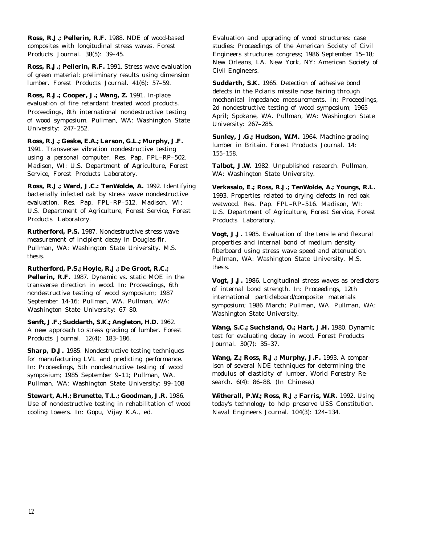**Ross, R.J.; Pellerin, R.F.** 1988. NDE of wood-based composites with longitudinal stress waves. Forest Products Journal. 38(5): 39–45.

**Ross, R.J.; Pellerin, R.F.** 1991. Stress wave evaluation of green material: preliminary results using dimension lumber. Forest Products Journal. 41(6): 57–59.

**Ross, R.J.; Cooper, J.; Wang, Z.** 1991. In-place evaluation of fire retardant treated wood products. Proceedings, 8th international nondestructive testing of wood symposium. Pullman, WA: Washington State University: 247–252.

**Ross, R.J.; Geske, E.A.; Larson, G.L.; Murphy, J.F.** 1991. Transverse vibration nondestructive testing using a personal computer. Res. Pap. FPL–RP–502. Madison, WI: U.S. Department of Agriculture, Forest Service, Forest Products Laboratory.

**Ross, R.J.; Ward, J.C.: TenWolde, A.** 1992. Identifying bacterially infected oak by stress wave nondestructive evaluation. Res. Pap. FPL–RP–512. Madison, WI: U.S. Department of Agriculture, Forest Service, Forest Products Laboratory.

**Rutherford, P.S.** 1987. Nondestructive stress wave measurement of incipient decay in Douglas-fir. Pullman, WA: Washington State University. M.S. thesis.

**Rutherford, P.S.; Hoyle, R.J.; De Groot, R.C.; Pellerin, R.F.** 1987. Dynamic vs. static MOE in the transverse direction in wood. In: Proceedings, 6th nondestructive testing of wood symposium; 1987 September 14-16; Pullman, WA. Pullman, WA: Washington State University: 67–80.

**Senft, J.F.; Suddarth, S.K.; Angleton, H.D.** 1962. A new approach to stress grading of lumber. Forest Products Journal. 12(4): 183–186.

**Sharp, D.J.** 1985. Nondestructive testing techniques for manufacturing LVL and predicting performance. In: Proceedings, 5th nondestructive testing of wood symposium; 1985 September 9–11; Pullman, WA. Pullman, WA: Washington State University: 99–108

**Stewart, A.H.; Brunette, T.L.; Goodman, J.R.** 1986. Use of nondestructive testing in rehabilitation of wood cooling towers. In: Gopu, Vijay K.A., ed.

Evaluation and upgrading of wood structures: case studies: Proceedings of the American Society of Civil Engineers structures congress; 1986 September 15–18; New Orleans, LA. New York, NY: American Society of Civil Engineers.

**Suddarth, S.K.** 1965. Detection of adhesive bond defects in the Polaris missile nose fairing through mechanical impedance measurements. In: Proceedings, 2d nondestructive testing of wood symposium; 1965 April; Spokane, WA. Pullman, WA: Washington State University: 267–285.

**Sunley, J.G.; Hudson, W.M.** 1964. Machine-grading lumber in Britain. Forest Products Journal. 14: 155–158.

**Talbot, J.W.** 1982. Unpublished research. Pullman, WA: Washington State University.

**Verkasalo, E.; Ross, R.J.; TenWolde, A.; Youngs, R.L.** 1993. Properties related to drying defects in red oak wetwood. Res. Pap. FPL–RP–516. Madison, WI: U.S. Department of Agriculture, Forest Service, Forest Products Laboratory.

**Vogt, J.J.** 1985. Evaluation of the tensile and flexural properties and internal bond of medium density fiberboard using stress wave speed and attenuation. Pullman, WA: Washington State University. M.S. thesis.

**Vogt, J.J.** 1986. Longitudinal stress waves as predictors of internal bond strength. In: Proceedings, 12th international particleboard/composite materials symposium; 1986 March; Pullman, WA. Pullman, WA: Washington State University.

**Wang, S.C.; Suchsland, O.; Hart, J.H.** 1980. Dynamic test for evaluating decay in wood. Forest Products Journal. 30(7): 35–37.

**Wang, Z.; Ross, R.J.; Murphy, J.F.** 1993. A comparison of several NDE techniques for determining the modulus of elasticity of lumber. World Forestry Research. 6(4): 86–88. (In Chinese.)

**Witherall, P.W.; Ross, R.J.; Farris, W.R.** 1992. Using today's technology to help preserve USS Constitution. Naval Engineers Journal. 104(3): 124–134.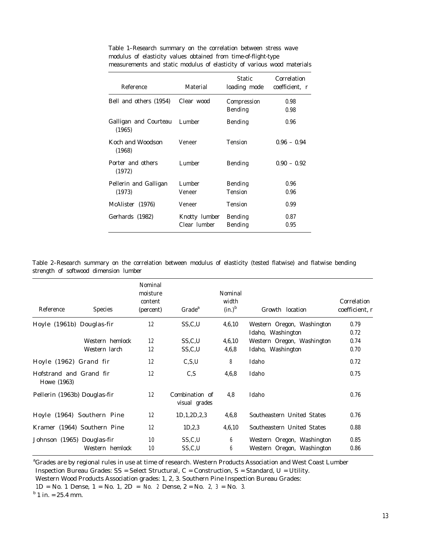| Reference                       | Material                      | Static<br>loading mode           | Correlation<br>coefficient, r |
|---------------------------------|-------------------------------|----------------------------------|-------------------------------|
| Bell and others (1954)          | Clear wood                    | Compression<br>Bending           | 0.98<br>0.98                  |
| Galligan and Courteau<br>(1965) | Lumber                        | <b>Bending</b>                   | 0.96                          |
| Koch and Woodson<br>(1968)      | Veneer                        | <b>Tension</b>                   | $0.96 - 0.94$                 |
| Porter and others<br>(1972)     | Lumber                        | <b>Bending</b>                   | $0.90 - 0.92$                 |
| Pellerin and Galligan<br>(1973) | Lumber<br>Veneer              | <b>Bending</b><br><b>Tension</b> | 0.96<br>0.96                  |
| McAlister (1976)                | Veneer                        | <b>Tension</b>                   | 0.99                          |
| Gerhards (1982)                 | Knotty lumber<br>Clear lumber | <b>Bending</b><br><b>Bending</b> | 0.87<br>0.95                  |

Table 1–Research summary on the correlation between stress wave modulus of elasticity values obtained from time-of-flight-type measurements and static modulus of elasticity of various wood materials

Table 2–Research summary on the correlation between modulus of elasticity (tested flatwise) and flatwise bending strength of softwood dimension lumber

| Reference                              | <b>Species</b>              | Nominal<br>moisture<br>content<br>(percent) | Grade <sup>a</sup>              | Nominal<br>width<br>$(in.)^b$ | Growth location                                          | Correlation<br>coefficient, r |
|----------------------------------------|-----------------------------|---------------------------------------------|---------------------------------|-------------------------------|----------------------------------------------------------|-------------------------------|
| Hoyle (1961b) Douglas-fir              |                             | 12                                          | SS,C,U                          | 4,6,10                        | Western Oregon, Washington<br>Idaho, Washington          | 0.79<br>0.72                  |
|                                        | Western hemlock             | 12                                          | SS.C.U                          | 4,6,10                        | Western Oregon, Washington                               | 0.74                          |
|                                        | Western larch               | 12                                          | SS,C,U                          | 4,6,8                         | Idaho, Washington                                        | 0.70                          |
| Hoyle (1962) Grand fir                 |                             | 12                                          | C, S, U                         | 8                             | Idaho                                                    | 0.72                          |
| Hofstrand and Grand fir<br>Howe (1963) |                             | 12                                          | C.S                             | 4,6,8                         | Idaho                                                    | 0.75                          |
| Pellerin (1963b) Douglas-fir           |                             | 12                                          | Combination of<br>visual grades | 4,8                           | Idaho                                                    | 0.76                          |
|                                        | Hoyle (1964) Southern Pine  | 12                                          | 1D, 1, 2D, 2, 3                 | 4,6,8                         | Southeastern United States                               | 0.76                          |
|                                        | Kramer (1964) Southern Pine | 12                                          | 1D, 2, 3                        | 4,6,10                        | Southeastern United States                               | 0.88                          |
| Johnson (1965) Douglas-fir             | Western hemlock             | 10<br>10                                    | SS, C, U<br>SS, C, U            | 6<br>6                        | Western Oregon, Washington<br>Western Oregon, Washington | 0.85<br>0.86                  |
|                                        |                             |                                             |                                 |                               |                                                          |                               |

*<sup>a</sup>*Grades are by regional rules in use at time of research. Western Products Association and West Coast Lumber

Inspection Bureau Grades:  $SS = Select Structural, C = Construction, S = Standard, U = Utility.$ 

Western Wood Products Association grades: 1, 2, 3. Southern Pine Inspection Bureau Grades:

 $1D = No. 1$  Dense,  $1 = No. 1$ ,  $2D = No. 2$  Dense,  $2 = No. 2$ ,  $3 = No. 3$ .

 $<sup>b</sup>$  1 in. = 25.4 mm.</sup>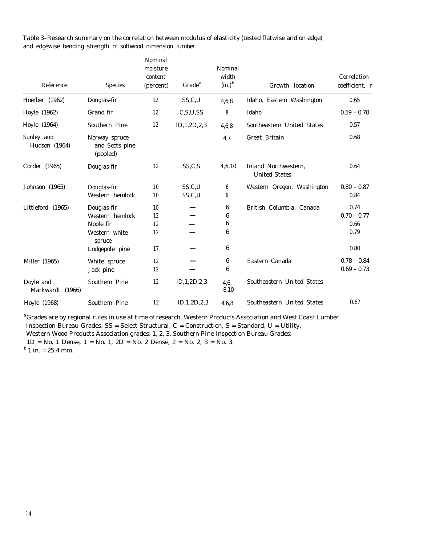| Reference                     | <b>Species</b>                              | Nominal<br>moisture<br>content<br>(percent) | Grade <sup>a</sup> | Nominal<br>width<br>$(in.)^b$ | Growth location                              | Correlation<br>coefficient, r |
|-------------------------------|---------------------------------------------|---------------------------------------------|--------------------|-------------------------------|----------------------------------------------|-------------------------------|
| Hoerber (1962)                | Douglas-fir                                 | 12                                          | SS,C,U             | 4,6,8                         | Idaho, Eastern Washington                    | 0.65                          |
| Hoyle (1962)                  | Grand fir                                   | 12                                          | C, S, U, SS        | 8                             | Idaho                                        | $0.59 - 0.70$                 |
| Hoyle (1964)                  | Southern Pine                               | 12                                          | ID, 1, 2D, 2, 3    | 4,6,8                         | Southeastern United States                   | 0.57                          |
| Sunley and<br>Hudson (1964)   | Norway spruce<br>and Scots pine<br>(pooled) |                                             |                    | 4,7                           | Great Britain                                | 0.68                          |
| Corder (1965)                 | Douglas-fir                                 | 12                                          | SS, C, S           | 4,6,10                        | Inland Northwestern.<br><b>United States</b> | 0.64                          |
| Johnson (1965)                | Douglas-fir                                 | 10                                          | SS,C,U             | 6                             | Western Oregon, Washington                   | $0.80 - 0.87$                 |
|                               | Western hemlock                             | 10                                          | SS,C,U             | 6                             |                                              | 0.84                          |
| Littleford (1965)             | Douglas-fir                                 | 10                                          |                    | 6                             | British Columbia, Canada                     | 0.74                          |
|                               | Western hemlock                             | 12                                          |                    | 6                             |                                              | $0.70 - 0.77$                 |
|                               | Noble fir                                   | 12                                          |                    | 6                             |                                              | 0.66                          |
|                               | Western white<br>spruce                     | 12                                          |                    | 6                             |                                              | 0.79                          |
|                               | Lodgepole pine                              | 17                                          |                    | 6                             |                                              | 0.80                          |
| Miller (1965)                 | White spruce                                | 12                                          |                    | 6                             | Eastern Canada                               | $0.78 - 0.84$                 |
|                               | Jack pine                                   | 12                                          |                    | 6                             |                                              | $0.69 - 0.73$                 |
| Doyle and<br>Markwardt (1966) | Southern Pine                               | 12                                          | ID, 1, 2D, 2, 3    | 4,6,<br>8,10                  | Southeastern United States                   |                               |
| Hoyle (1968)                  | Southern Pine                               | 12                                          | ID, 1, 2D, 2, 3    | 4.6.8                         | Southeastern United States                   | 0.67                          |

Table 3–Research summary on the correlation between modulus of elasticity (tested flatwise and on edge) and edgewise bending strength of softwood dimension lumber

*<sup>a</sup>*Grades are by regional rules in use at time of research. Western Products Association and West Coast Lumber Inspection Bureau Grades: SS = Select Structural, C = Construction, S = Standard, U = Utility. Western Wood Products Association grades: 1, 2, 3. Southern Pine Inspection Bureau Grades: 1D = No. 1 Dense, 1 = No. 1, 2D = No. 2 Dense, 2 = No. 2, 3 = No. 3.  $<sup>b</sup>$  1 in. = 25.4 mm.</sup>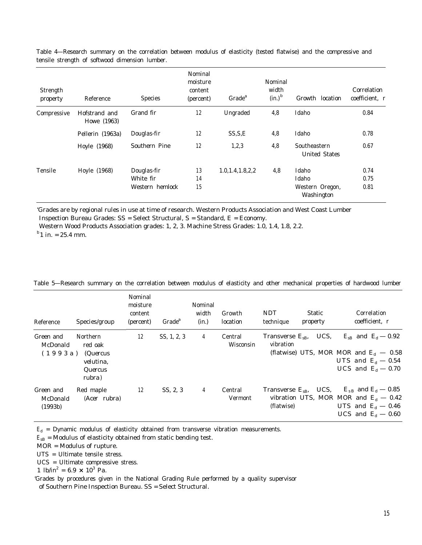| Strength<br>property | Reference                    | <b>Species</b>                              | Nominal<br>moisture<br>content<br>(percent) | Grade <sup>a</sup> | Nominal<br>width<br>$(in.)^b$ | Growth location                                 | Correlation<br>coefficient, r |
|----------------------|------------------------------|---------------------------------------------|---------------------------------------------|--------------------|-------------------------------|-------------------------------------------------|-------------------------------|
| Compressive          | Hofstrand and<br>Howe (1963) | Grand fir                                   | 12                                          | Ungraded           | 4,8                           | Idaho                                           | 0.84                          |
|                      | Pellerin (1963a)             | Douglas-fir                                 | 12                                          | SS.S.E             | 4,8                           | Idaho                                           | 0.78                          |
|                      | Hoyle (1968)                 | Southern Pine                               | 12                                          | 1,2,3              | 4,8                           | Southeastern<br><b>United States</b>            | 0.67                          |
| Tensile              | Hoyle (1968)                 | Douglas-fir<br>White fir<br>Western hemlock | 13<br>14<br>15                              | 1.0.1.4.1.8.2.2    | 4,8                           | Idaho<br>Idaho<br>Western Oregon,<br>Washington | 0.74<br>0.75<br>0.81          |

Table 4—Research summary on the correlation between modulus of elasticity (tested flatwise) and the compressive and tensile strength of softwood dimension lumber.

'Grades are by regional rules in use at time of research. Western Products Association and West Coast Lumber Inspection Bureau Grades: SS = Select Structural, S = Standard, E = Economy.

Western Wood Products Association grades: 1, 2, 3. Machine Stress Grades: 1.0, 1.4, 1.8, 2.2.

 $^{b}$ 1 in. = 25.4 mm.

| Reference                        | Species/group                                                            | Nominal<br>moisture<br>content<br>(percent) | Grade <sup>a</sup> | Nominal<br>width<br>(in.) | Growth<br>location   | <b>NDT</b><br>technique                | <b>Static</b><br>property | Correlation<br>coefficient, r                                                                                                                                 |
|----------------------------------|--------------------------------------------------------------------------|---------------------------------------------|--------------------|---------------------------|----------------------|----------------------------------------|---------------------------|---------------------------------------------------------------------------------------------------------------------------------------------------------------|
| Green and<br>McDonald<br>(1993a) | <b>Northern</b><br>red oak<br>(Quercus<br>velutina.<br>Quercus<br>rubra) | 12                                          | SS, 1, 2, 3        | $\overline{4}$            | Central<br>Wisconsin | Transverse $E_{\rm SB}$ ,<br>vibration | UCS.                      | $E_{\rm sB}$ and $E_{\rm d}$ – 0.92<br>(flatwise) UTS, MOR MOR and $E_d$ – 0.58<br>UTS and $E_d$ – 0.54<br>UCS and $E_d$ – 0.70                               |
| Green and<br>McDonald<br>(1993b) | Red maple<br>(Acer rubra)                                                | 12                                          | SS, 2, 3           | $\overline{4}$            | Central<br>Vermont   | (flatwise)                             |                           | Transverse $E_{\rm sB}$ , UCS, $E_{\rm sB}$ and $E_{\rm d}$ – 0.85<br>vibration UTS, MOR MOR and $E_d$ – 0.42<br>UTS and $E_d$ – 0.46<br>UCS and $E_d$ – 0.60 |

Table 5—Research summary on the correlation between modulus of elasticity and other mechanical properties of hardwood lumber

 $E_d$  = Dynamic modulus of elasticity obtained from transverse vibration measurements.

 $E_{\rm SB}$  = Modulus of elasticity obtained from static bending test.

MOR = Modulus of rupture.

UTS = Ultimate tensile stress.

UCS = Ultimate compressive stress.

1  $lb/in^2 = 6.9 \times 10^3$  Pa.

'Grades by procedures given in the National Grading Rule performed by a quality supervisor of Southern Pine Inspection Bureau. SS = Select Structural.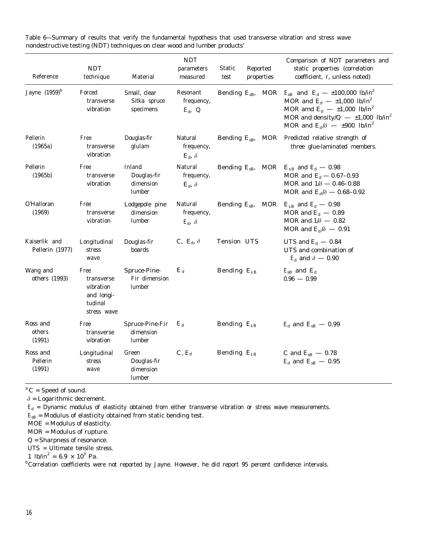| Reference                        | <b>NDT</b><br>technique                                                 | Material                                     | $\ensuremath{\text{NDT}}$<br>parameters<br>measured | Static<br>test         | Reported<br>properties     | Comparison of NDT parameters and<br>static properties (correlation<br>coefficient, r, unless noted)                                                                                                                                                                     |
|----------------------------------|-------------------------------------------------------------------------|----------------------------------------------|-----------------------------------------------------|------------------------|----------------------------|-------------------------------------------------------------------------------------------------------------------------------------------------------------------------------------------------------------------------------------------------------------------------|
| Jayne $(1959)^b$                 | Forced<br>transverse<br>vibration                                       | Small, clear<br>Sitka spruce<br>specimens    | Resonant<br>frequency,<br>$E_{\rm d}$ , $Q$         |                        | Bending $E_{\rm sB}$ , MOR | $E_{\rm sB}$ and $E_{\rm d}$ - ±100,000 lb/in <sup>2</sup><br>MOR and $E_d$ - $\pm 1,000$ lb/in <sup>2</sup><br>MOR amd $E_d$ - ±1,000 lb/in <sup>2</sup><br>MOR and density/ $Q = \pm 1,000$ lb/in <sup>2</sup><br>MOR and $E_d/\delta$ - $\pm 900$ lb/in <sup>2</sup> |
| Pellerin<br>(1965a)              | Free<br>transverse<br>vibration                                         | Douglas-fir<br>glulam                        | Natural<br>frequency,<br>$E_{\rm d}$ , $\delta$     | Bending $E_{\rm SB}$ , | MOR                        | Predicted relative strength of<br>three glue-laminated members.                                                                                                                                                                                                         |
| Pellerin<br>(1965b)              | Free<br>transverse<br>vibration                                         | Inland<br>Douglas-fir<br>dimension<br>lumber | Natural<br>frequency,<br>$E_{\rm d}$ , $\delta$     | Bending $E_{\rm SB}$ , | MOR                        | $E_{sB}$ and $E_d$ – 0.98<br>MOR and $E_d$ – 0.67–0.93<br>MOR and $1/\delta - 0.46 - 0.88$<br>MOR and $E_d/\delta = 0.68 - 0.92$                                                                                                                                        |
| O'Halloran<br>(1969)             | Free<br>transverse<br>vibration                                         | Lodgepole pine<br>dimension<br>lumber        | Natural<br>frequency,<br>$E_{\rm d}$ , $\delta$     | Bending $E_{\rm SB}$ , | MOR                        | $E_{sB}$ and $E_{d}$ – 0.98<br>MOR and $E_d$ – 0.89<br>MOR and $1/\delta - 0.82$<br>MOR and $E_d/\delta = 0.91$                                                                                                                                                         |
| Kaiserlik and<br>Pellerin (1977) | Longitudinal<br>stress<br>wave                                          | Douglas-fir<br>boards                        | C, $E_d$ , $\delta$                                 | Tension UTS            |                            | UTS and $E_d$ – 0.84<br>UTS and combination of<br>$E_d$ and $\delta$ – 0.90                                                                                                                                                                                             |
| Wang and<br>others (1993)        | Free<br>transverse<br>vibration<br>and longi-<br>tudinal<br>stress wave | Spruce-Pine-<br>Fir dimension<br>lumber      | $E_{\rm d}$                                         | Bending $E_{\rm SB}$   |                            | $E_{\rm sB}$ and $E_{\rm d}$<br>$0.96 - 0.99$                                                                                                                                                                                                                           |
| Ross and<br>others<br>(1991)     | Free<br>transverse<br>vibration                                         | Spruce-Pine-Fir<br>dimension<br>lumber       | $E_{\rm d}$                                         | Bending $E_{\rm sB}$   |                            | $E_{\rm d}$ and $E_{\rm sB}$ – 0.99                                                                                                                                                                                                                                     |
| Ross and<br>Pellerin<br>(1991)   | Longitudinal<br>stress<br>wave                                          | Green<br>Douglas-fir<br>dimension<br>lumber  | $C, E_d$                                            | Bending $E_{\rm SB}$   |                            | C and $E_{SB}$ - 0.78<br>$E_{\rm d}$ and $E_{\rm sB}$ – 0.95                                                                                                                                                                                                            |

Table 6—Summary of results that verify the fundamental hypothesis that used transverse vibration and stress wave nondestructive testing (NDT) techniques on clear wood and lumber products'

*<sup>a</sup>* C = Speed of sound.

 $\delta$  = Logarithmic decrement.

 $E_d$  = Dynamic modulus of elasticity obtained from either transverse vibration or stress wave measurements.

 $E_{\rm SB}$  = Modulus of elasticity obtained from static bending test.

MOE = Modulus of elasticity.

MOR = Modulus of rupture.

*Q* = Sharpness of resonance.

UTS = Ultimate tensile stress.

1  $lb/in^2 = 6.9 \times 10^3$  Pa.

*b*Correlation coefficients were not reported by Jayne. However, he did report 95 percent confidence intervals.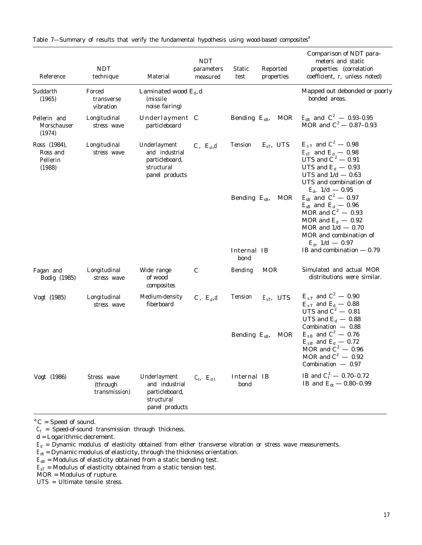| Reference                                      | <b>NDT</b><br>technique                  | Material                                                                         | <b>NDT</b><br>parameters<br>measured | Reported<br>Static<br>properties<br>test | Comparison of NDT para-<br>meters and static<br>properties (correlation<br>coefficient, r, unless noted)                                                                                              |
|------------------------------------------------|------------------------------------------|----------------------------------------------------------------------------------|--------------------------------------|------------------------------------------|-------------------------------------------------------------------------------------------------------------------------------------------------------------------------------------------------------|
| Suddarth<br>(1965)                             | Forced<br>transverse<br>vibration        | Laminated wood $E_d$ , d<br>(missile)<br>noise fairing)                          |                                      |                                          | Mapped out debonded or poorly<br>bonded areas.                                                                                                                                                        |
| Pellerin and<br>Morschauser<br>(1974)          | Longitudinal<br>stress wave              | Underlayment C<br>particleboard                                                  |                                      | <b>MOR</b><br>Bending $E_{\rm sB}$ ,     | $E_{sB}$ and $C^2$ — 0.93-0.95<br>MOR and $C^2$ - 0.87-0.93                                                                                                                                           |
| Ross (1984),<br>Ross and<br>Pellerin<br>(1988) | Longitudinal<br>stress wave              | Underlayment<br>and industrial<br>particleboard,<br>structural<br>panel products | $C, E_d, d$                          | Tension<br>$E_{ST}$ , UTS                | $E_{sT}$ and $C^2 - 0.98$<br>$E_{\rm sT}$ and $E_{\rm d}$ – 0.98<br>UTS and $C^2$ – 0.91<br>UTS and $E_d$ – 0.93<br>UTS and $1/d - 0.63$<br>UTS and combination of<br>$E_{\rm d}$ , $1/\rm{d}$ - 0.95 |
|                                                |                                          |                                                                                  |                                      | Bending $E_{\rm SB}$ ,<br><b>MOR</b>     | $E_{\rm sB}$ and $C^2 - 0.97$<br>$E_{\rm sB}$ and $E_{\rm d}$ – 0.96<br>MOR and $C^2$ — 0.93<br>MOR and $E_d$ – 0.92<br>MOR and $1/d = 0.70$<br>MOR and combination of<br>$E_{\rm d}$ , 1/d – 0.97    |
|                                                |                                          |                                                                                  |                                      | Internal IB<br>bond                      | IB and combination $-0.79$                                                                                                                                                                            |
| Fagan and<br>Bodig (1985)                      | Longitudinal<br>stress wave              | Wide range<br>of wood<br>composites                                              | $\cal C$                             | <b>MOR</b><br><b>Bending</b>             | Simulated and actual MOR<br>distributions were similar.                                                                                                                                               |
| Vogt (1985)                                    | Longitudinal<br>stress wave              | Medium-density<br>fiberboard                                                     | $C$ , $E_d$ , d                      | Tension<br>$E_{\rm sT}$ , UTS            | $E_{\rm sT}$ and $C^2 - 0.90$<br>$E_{sT}$ and $E_d - 0.88$<br>UTS and $C^2$ – 0.81<br>UTS and $E_d - 0.88$<br>Combination $-0.88$                                                                     |
|                                                |                                          |                                                                                  |                                      | Bending $E_{\rm SB}$ ,<br><b>MOR</b>     | $E_{sB}$ and $C^2$ — 0.76<br>$E_{\rm sB}$ and $E_{\rm d}$ — $0.72$<br>MOR and $C^2 - 0.96$<br>MOR and $C^2$ – 0.92<br>Combination $-0.97$                                                             |
| Vogt (1986)                                    | Stress wave<br>(through<br>transmission) | Underlayment<br>and industrial<br>particleboard,<br>structural<br>panel products | $C_t$ , $E_{d,t}$                    | Internal IB<br>bond                      | IB and $C_t^2$ — 0.70–0.72<br>IB and $E_{dt}$ – 0.80–0.99                                                                                                                                             |

Table 7—Summary of results that verify the fundamental hypothesis using wood-based composites*<sup>a</sup>*

 ${}^{a}C$  = Speed of sound.

 $C_t$  = Speed-of-sound transmission through thickness.

 $\mathbf{d}$  = Logarithmic decrement.

 $E_d$  = Dynamic modulus of elasticity obtained from either transverse vibration or stress wave measurements.

*<sup>E</sup>*dt = Dynamic modulus of elasticity, through the thickness orientation.

 $E_{\rm sB}$  = Modulus of elasticity obtained from a static bending test.

 $E_{\text{sT}}$  = Modulus of elasticity obtained from a static tension test.

MOR = Modulus of rupture.

UTS = Ultimate tensile stress.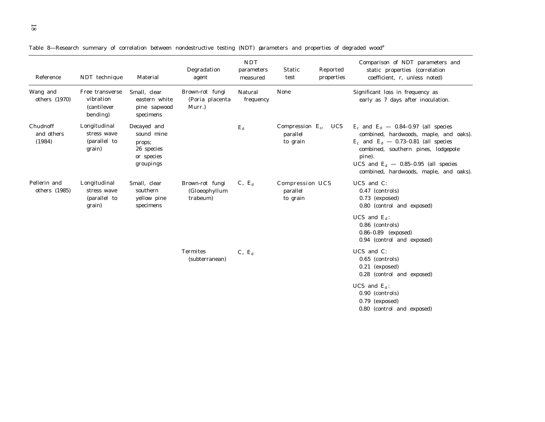|  |  |  | Table 8—Research summary of correlation between nondestructive testing (NDT) parameters and properties of degraded wood <sup>a</sup> |  |  |  |  |
|--|--|--|--------------------------------------------------------------------------------------------------------------------------------------|--|--|--|--|
|  |  |  |                                                                                                                                      |  |  |  |  |

| Reference                        | NDT technique                                                   | Material                                                                     | Degradation<br>agent                         | <b>NDT</b><br>parameters<br>measured | Static<br>test                              | Reported<br>properties | Comparison of NDT parameters and<br>static properties (correlation<br>coefficient, r, unless noted)                                                                                                                                                                 |
|----------------------------------|-----------------------------------------------------------------|------------------------------------------------------------------------------|----------------------------------------------|--------------------------------------|---------------------------------------------|------------------------|---------------------------------------------------------------------------------------------------------------------------------------------------------------------------------------------------------------------------------------------------------------------|
| Wang and<br>others (1970)        | Free transverse<br>vibration<br><i>(cantilever)</i><br>bending) | Small, clear<br>eastern white<br>pine sapwood<br>specimens                   | Brown-rot fungi<br>(Poria placenta<br>Murr.) | Natural<br>frequency                 | None                                        |                        | Significant loss in frequency as<br>early as 7 days after inoculation.                                                                                                                                                                                              |
| Chudnoff<br>and others<br>(1984) | Longitudinal<br>stress wave<br>(parallel to<br>grain)           | Decayed and<br>sound mine<br>props;<br>26 species<br>or species<br>groupings |                                              | $E_{\rm d}$                          | Compression $E_c$ ,<br>parallel<br>to grain | <b>UCS</b>             | $E_c$ and $E_d$ — 0.84–0.97 (all species<br>combined, hardwoods, maple, and oaks).<br>$E_c$ and $E_d$ - 0.73-0.81 (all species<br>combined, southern pines, lodgepole<br>pine).<br>UCS and $E_d$ - 0.85-0.95 (all species<br>combined, hardwoods, maple, and oaks). |
| Pellerin and<br>others (1985)    | Longitudinal<br>stress wave<br>(parallel to<br>grain)           | Small, clear<br>southern<br>yellow pine<br>specimens                         | Brown-rot fungi<br>(Gloeophyllum<br>trabeum) | $C, E_d$                             | Compression UCS<br>parallel<br>to grain     |                        | UCS and $C$ :<br>0.47 (controls)<br>$0.73$ (exposed)<br>0.80 (control and exposed)                                                                                                                                                                                  |
|                                  |                                                                 |                                                                              |                                              |                                      |                                             |                        | UCS and $E_d$ :<br>0.86 (controls)<br>0.86-0.89 (exposed)<br>0.94 (control and exposed)                                                                                                                                                                             |
|                                  |                                                                 |                                                                              | <b>Termites</b><br>(subterranean)            | $C, E_d$                             |                                             |                        | UCS and $C$ :<br>0.65 (controls)<br>$0.21$ (exposed)<br>0.28 (control and exposed)                                                                                                                                                                                  |
|                                  |                                                                 |                                                                              |                                              |                                      |                                             |                        | UCS and $E_d$ :<br>0.90 (controls)<br>0.79 (exposed)<br>0.80 (control and exposed)                                                                                                                                                                                  |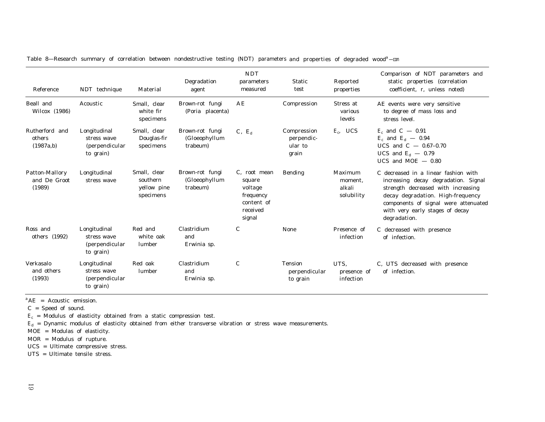| Reference                                | NDT technique                                              | Material                                             | Degradation<br>agent                         | <b>NDT</b><br>parameters<br>measured                                                  | <b>Static</b><br>test                         | Reported<br>properties                     | Comparison of NDT parameters and<br>static properties (correlation<br>coefficient, r, unless noted)                                                                                                                                                |
|------------------------------------------|------------------------------------------------------------|------------------------------------------------------|----------------------------------------------|---------------------------------------------------------------------------------------|-----------------------------------------------|--------------------------------------------|----------------------------------------------------------------------------------------------------------------------------------------------------------------------------------------------------------------------------------------------------|
| Beall and<br>Wilcox (1986)               | Acoustic                                                   | Small. clear<br>white fir<br>specimens               | Brown-rot fungi<br>(Poria placenta)          | AΕ                                                                                    | Compression                                   | Stress at<br>various<br>levels             | AE events were very sensitive<br>to degree of mass loss and<br>stress level.                                                                                                                                                                       |
| Rutherford and<br>others<br>(1987a,b)    | Longitudinal<br>stress wave<br>(perpendicular<br>to grain) | Small, clear<br>Douglas-fir<br>specimens             | Brown-rot fungi<br>(Gloeophyllum<br>trabeum) | $C, E_d$                                                                              | Compression<br>perpendic-<br>ular to<br>grain | $E_c$ , UCS                                | $E_c$ and $C - 0.91$<br>$E_c$ and $E_d$ – 0.94<br>UCS and $C - 0.67 - 0.70$<br>UCS and $E_d$ – 0.79<br>UCS and MOE $-$ 0.80                                                                                                                        |
| Patton-Mallory<br>and De Groot<br>(1989) | Longitudinal<br>stress wave                                | Small, clear<br>southern<br>yellow pine<br>specimens | Brown-rot fungi<br>(Gloeophyllum<br>trabeum) | $C$ , root mean<br>square<br>voltage<br>frequency<br>content of<br>received<br>signal | <b>Bending</b>                                | Maximum<br>moment,<br>alkali<br>solubility | C decreased in a linear fashion with<br>increasing decay degradation. Signal<br>strength decreased with increasing<br>decay degradation. High-frequency<br>components of signal were attenuated<br>with very early stages of decay<br>degradation. |
| Ross and<br>others (1992)                | Longitudinal<br>stress wave<br>(perpendicular<br>to grain) | Red and<br>white oak<br>lumber                       | Clastridium<br>and<br>Erwinia sp.            | C                                                                                     | None                                          | Presence of<br>infection                   | C decreased with presence<br>of infection.                                                                                                                                                                                                         |
| Verkasalo<br>and others<br>(1993)        | Longitudinal<br>stress wave<br>(perpendicular<br>to grain) | Red oak<br>lumber                                    | Clastridium<br>and<br>Erwinia sp.            | C                                                                                     | <b>Tension</b><br>perpendicular<br>to grain   | UTS.<br>presence of<br>infection           | C, UTS decreased with presence<br>of infection.                                                                                                                                                                                                    |

Table 8—Research summary of correlation between nondestructive testing (NDT) parameters and properties of degraded wood*<sup>a</sup>* —con

*<sup>a</sup>*AE = Acoustic emission.

*C* = Speed of sound.

 $E_c$  = Modulus of elasticity obtained from a static compression test.

*E*d = Dynamic modulus of elasticity obtained from either transverse vibration or stress wave measurements.

MOE = Modulas of elasticity.

MOR = Modulus of rupture.

UCS = Ultimate compressive stress.

UTS = Ultimate tensile stress.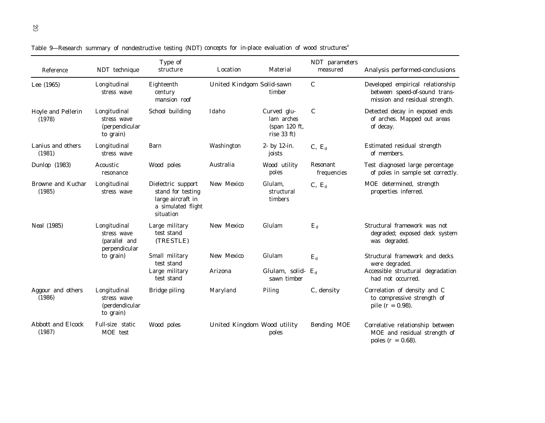| Reference                          | NDT technique                                                      | Type of<br>structure                                                                            | Location                    | Material                                                  | NDT parameters<br>measured | Analysis performed-conclusions                                                                      |
|------------------------------------|--------------------------------------------------------------------|-------------------------------------------------------------------------------------------------|-----------------------------|-----------------------------------------------------------|----------------------------|-----------------------------------------------------------------------------------------------------|
| Lee (1965)                         | Longitudinal<br>stress wave                                        | Eighteenth<br>century<br>mansion roof                                                           | United Kindgom Solid-sawn   | timber                                                    | $\mathcal{C}$              | Developed empirical relationship<br>between speed-of-sound trans-<br>mission and residual strength. |
| Hoyle and Pellerin<br>(1978)       | Longitudinal<br>stress wave<br><i>(perpendicular)</i><br>to grain) | School building                                                                                 | Idaho                       | Curved glu-<br>lam arches<br>(span 120 ft,<br>rise 33 ft) | $\mathcal C$               | Detected decay in exposed ends<br>of arches. Mapped out areas<br>of decay.                          |
| Lanius and others<br>(1981)        | Longitudinal<br>stress wave                                        | Barn                                                                                            | Washington                  | 2- by 12-in.<br>joists                                    | $C, E_d$                   | Estimated residual strength<br>of members.                                                          |
| Dunlop (1983)                      | Acoustic<br>resonance                                              | Wood poles                                                                                      | Australia                   | Wood utility<br>poles                                     | Resonant<br>frequencies    | Test diagnosed large percentage<br>of poles in sample set correctly.                                |
| Browne and Kuchar<br>(1985)        | Longitudinal<br>stress wave                                        | Dielectric support<br>stand for testing<br>large aircraft in<br>a simulated flight<br>situation | New Mexico                  | Glulam,<br>structural<br>timbers                          | $C, E_d$                   | MOE determined, strength<br>properties inferred.                                                    |
| Neal (1985)                        | Longitudinal<br>stress wave<br>(parallel and<br>perpendicular      | Large military<br>test stand<br>(TRESTLE)                                                       | New Mexico                  | Glulam                                                    | $E_{\rm d}$                | Structural framework was not<br>degraded; exposed deck system<br>was degraded.                      |
|                                    | to grain)                                                          | Small military<br>test stand                                                                    | New Mexico                  | Glulam                                                    | $E_{\rm d}$                | Structural framework and decks<br>were degraded.                                                    |
|                                    |                                                                    | Large military<br>test stand                                                                    | Arizona                     | Glulam, solid-<br>sawn timber                             | $E_{d}$                    | Accessible structural degradation<br>had not occurred.                                              |
| Aggour and others<br>(1986)        | Longitudinal<br>stress wave<br><i>(perdendicular)</i><br>to grain) | Bridge piling                                                                                   | Maryland                    | Piling                                                    | $C$ , density              | Correlation of density and C<br>to compressive strength of<br>pile $(r = 0.98)$ .                   |
| <b>Abbott and Elcock</b><br>(1987) | Full-size static<br>MOE test                                       | Wood poles                                                                                      | United Kingdom Wood utility | poles                                                     | Bending MOE                | Correlative relationship between<br>MOE and residual strength of<br>poles ( $r = 0.68$ ).           |

Table 9—Research summary of nondestructive testing (NDT) concepts for in-place evaluation of wood structures*<sup>a</sup>*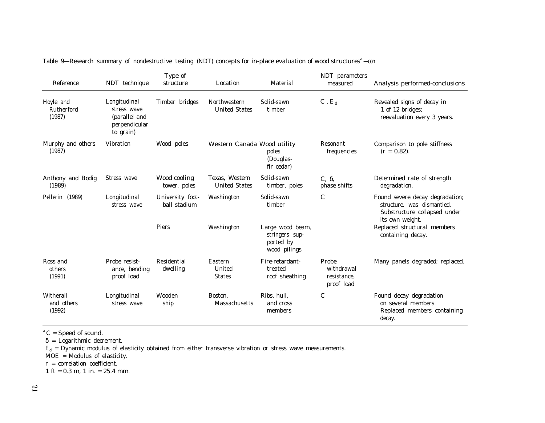| Reference                         | NDT technique                                                              | Type of<br>structure             | Location                               | Material                                                        | NDT parameters<br>measured                       | Analysis performed-conclusions                                                                                   |
|-----------------------------------|----------------------------------------------------------------------------|----------------------------------|----------------------------------------|-----------------------------------------------------------------|--------------------------------------------------|------------------------------------------------------------------------------------------------------------------|
| Hoyle and<br>Rutherford<br>(1987) | Longitudinal<br>stress wave<br>(parallel and<br>perpendicular<br>to grain) | Timber bridges                   | Northwestern<br><b>United States</b>   | Solid-sawn<br>timber                                            | $C, E_d$                                         | Revealed signs of decay in<br>1 of 12 bridges;<br>reevaluation every 3 years.                                    |
| Murphy and others<br>(1987)       | <b>Vibration</b>                                                           | Wood poles                       | Western Canada Wood utility            | poles<br>(Douglas-<br>fir cedar)                                | <b>Resonant</b><br>frequencies                   | Comparison to pole stiffness<br>$(r = 0.82)$ .                                                                   |
| Anthony and Bodig<br>(1989)       | Stress wave                                                                | Wood cooling<br>tower, poles     | Texas, Western<br><b>United States</b> | Solid-sawn<br>timber, poles                                     | $C, \delta$ ,<br>phase shifts                    | Determined rate of strength<br>degradation.                                                                      |
| Pellerin (1989)                   | Longitudinal<br>stress wave                                                | University foot-<br>ball stadium | Washington                             | Solid-sawn<br>timber                                            | $\,c\,$                                          | Found severe decay degradation;<br>structure, was dismantled.<br>Substructure collapsed under<br>its own weight. |
|                                   |                                                                            | Piers                            | Washington                             | Large wood beam,<br>stringers sup-<br>ported by<br>wood pilings |                                                  | Replaced structural members<br>containing decay.                                                                 |
| Ross and<br>others<br>(1991)      | Probe resist-<br>ance, bending<br>proof load                               | Residential<br>dwelling          | Eastern<br>United<br><b>States</b>     | Fire-retardant-<br>treated<br>roof sheathing                    | Probe<br>withdrawal<br>resistance.<br>proof load | Many panels degraded; replaced.                                                                                  |
| Witherall<br>and others<br>(1992) | Longitudinal<br>stress wave                                                | Wooden<br>ship                   | Boston.<br>Massachusetts               | Ribs, hull,<br>and cross<br>members                             | $\mathcal C$                                     | Found decay degradation<br>on several members.<br>Replaced members containing<br>decay.                          |

Table 9—Research summary of nondestructive testing (NDT) concepts for in-place evaluation of wood structures<sup>a</sup>—con

 $^{a}$  *C* = Speed of sound.

 $\delta$  = Logarithmic decrement.

 $E_d$  = Dynamic modulus of elasticity obtained from either transverse vibration or stress wave measurements.

MOE = Modulus of elasticity.

*r* = correlation coefficient.

1 ft =  $0.3$  m, 1 in. =  $25.4$  mm.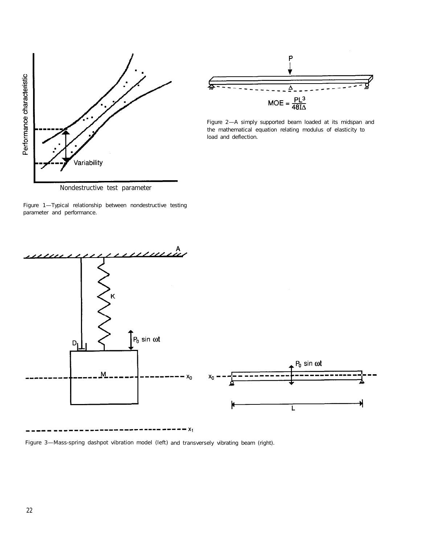



*Figure 2—A simply supported beam loaded at its midspan and the mathematical equation relating modulus of elasticity to load and deflection.*

Nondestructive test parameter

*Figure 1—Typical relationship between nondestructive testing parameter and performance.*



 $\cdots \cdots \cdots \cdots x_1$ 

*Figure 3—Mass-spring dashpot vibration model* (left) *and* transversely *vibrating beam (right).*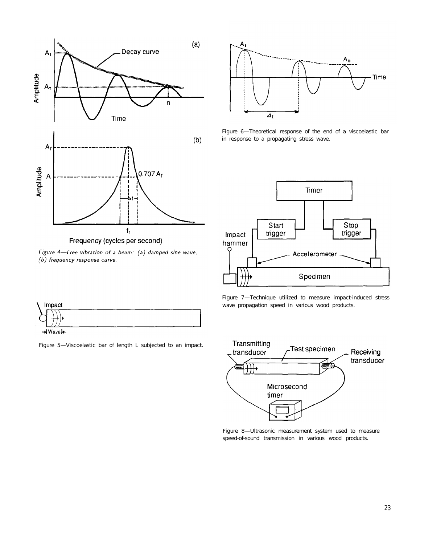

Figure 4-Free vibration of a beam: (a) damped sine wave, (b) frequency response curve.



*Figure 6—Theoretical response of the end of a viscoelastic bar in response to a propagating stress wave.*







*Figure 8—Ultrasonic measurement system used to measure speed-of-sound transmission in various wood products.*



*Figure 5—Viscoelastic bar of length L subjected to an impact.*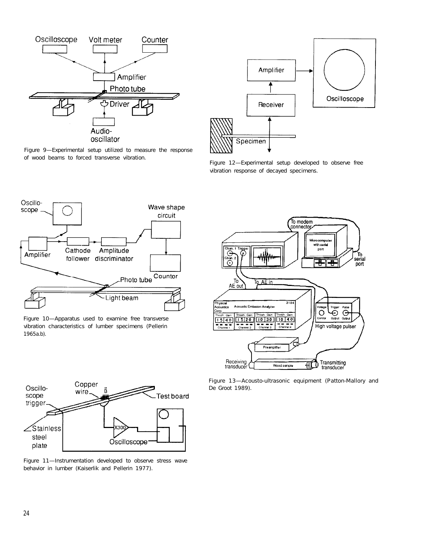

*Figure 9—Experimental setup utilized to measure the response of wood beams to forced transverse vibration.*



*Figure 12—Experimental setup developed to observe free vibration response of decayed specimens.*



*Figure 10—Apparatus used to examine free transverse vibration characteristics of lumber specimens (Pellerin 1965a.b).*



*Figure 13—Acousto-ultrasonic equipment (Patton-Mallory and De Groot 1989).*



*Figure 11—Instrumentation developed to observe stress wave behavior in lumber (Kaiserlik and Pellerin 1977).*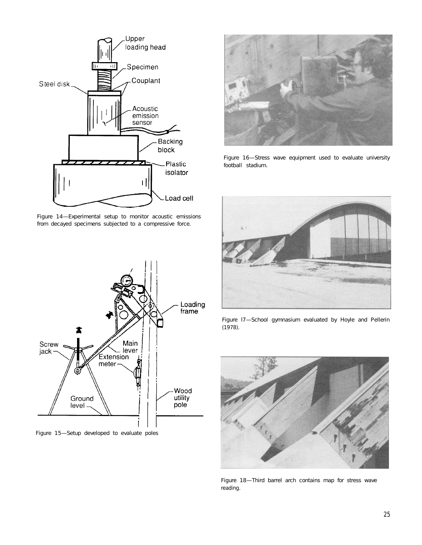

*Figure 14—Experimental setup to monitor acoustic emissions from decayed specimens subjected to a compressive force.*



*Figure 16—Stress wave equipment used to evaluate university football stadium.*



*Figure l7—School gymnasium evaluated by Hoyle and Pellerin (1978).*



*Figure 18—Third barrel arch contains map for stress wave reading.*



*Figure 15—Setup developed to evaluate poles*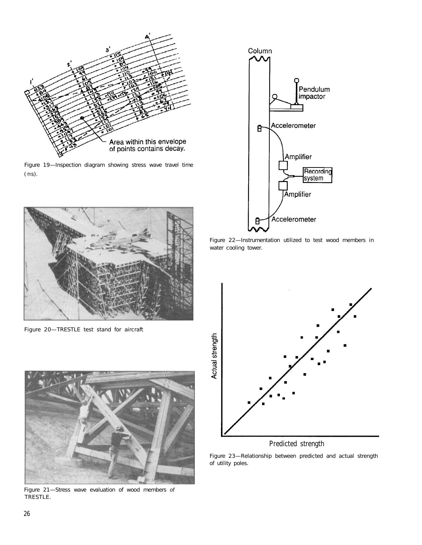

*Figure 19—Inspection diagram showing stress wave travel time ( m s).*



*Figure 20—TRESTLE test stand for aircraft*



*Figure 21—Stress wave evaluation of wood members of TRESTLE.*



*Figure 22—Instrumentation utilized to test wood members in water cooling tower.*



# Predicted strength

*Figure 23—Relationship between predicted and actual strength of utility poles.*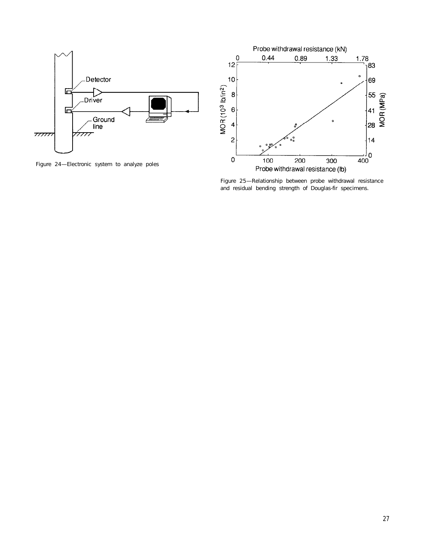

*Figure 24—Electronic system to analyze poles*



*Figure 25—Relationship between probe withdrawal resistance and residual bending strength of Douglas-fir specimens.*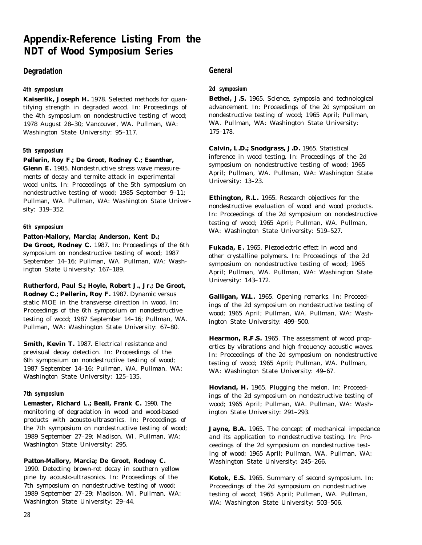# **Appendix-Reference Listing From the NDT of Wood Symposium Series**

# **Degradation General**

# **4th symposium**

**Kaiserlik, Joseph H.** 1978. Selected methods for quantifying strength in degraded wood. In: Proceedings of the 4th symposium on nondestructive testing of wood; 1978 August 28–30; Vancouver, WA. Pullman, WA: Washington State University: 95–117.

# **5th symposium**

### **Pellerin, Roy F.; De Groot, Rodney C.; Esenther,**

**Glenn E.** 1985. Nondestructive stress wave measurements of decay and termite attack in experimental wood units. In: Proceedings of the 5th symposium on nondestructive testing of wood; 1985 September 9–11; Pullman, WA. Pullman, WA: Washington State University: 319–352.

# **Patton-Mallory, Marcia; Anderson, Kent D.;**

**De Groot, Rodney C.** 1987. In: Proceedings of the 6th symposium on nondestructive testing of wood; 1987 September 14–16; Pullman, WA. Pullman, WA: Washington State University: 167–189.

**Rutherford, Paul S.; Hoyle, Robert J., Jr.; De Groot, Rodney C.; Pellerin, Roy F.** 1987. Dynamic versus static MOE in the transverse direction in wood. In: Proceedings of the 6th symposium on nondestructive testing of wood; 1987 September 14–16; Pullman, WA. Pullman, WA: Washington State University: 67–80.

**Smith, Kevin T.** 1987. Electrical resistance and previsual decay detection. In: Proceedings of the 6th symposium on nondestructive testing of wood; 1987 September 14–16; Pullman, WA. Pullman, WA: Washington State University: 125–135.

### **7th symposium**

**Lemaster, Richard L.; Beall, Frank C.** 1990. The monitoring of degradation in wood and wood-based products with acousto-ultrasonics. In: Proceedings of the 7th symposium on nondestructive testing of wood; 1989 September 27–29; Madison, WI. Pullman, WA: Washington State University: 295.

# **Patton-Mallory, Marcia; De Groot, Rodney C.**

1990. Detecting brown-rot decay in southern yellow pine by acousto-ultrasonics. In: Proceedings of the 7th symposium on nondestructive testing of wood; 1989 September 27–29; Madison, WI. Pullman, WA: Washington State University: 29–44.

# **2d symposium**

**Bethel, J.S.** 1965. Science, symposia and technological advancement. In: Proceedings of the 2d symposium on nondestructive testing of wood; 1965 April; Pullman, WA. Pullman, WA: Washington State University: 175–178.

**Calvin, L.D.; Snodgrass, J.D.** 1965. Statistical inference in wood testing. In: Proceedings of the 2d symposium on nondestructive testing of wood; 1965 April; Pullman, WA. Pullman, WA: Washington State University: 13–23.

**Ethington, R.L.** 1965. Research objectives for the nondestructive evaluation of wood and wood products. In: Proceedings of the 2d symposium on nondestructive testing of wood; 1965 April; Pullman, WA. Pullman, WA: Washington State University: 519–527. **6th symposium**

> **Fukada, E.** 1965. Piezoelectric effect in wood and other crystalline polymers. In: Proceedings of the 2d symposium on nondestructive testing of wood; 1965 April; Pullman, WA. Pullman, WA: Washington State University: 143–172.

> **Galligan, W.L.** 1965. Opening remarks. In: Proceedings of the 2d symposium on nondestructive testing of wood; 1965 April; Pullman, WA. Pullman, WA: Washington State University: 499–500.

**Hearmon, R.F.S.** 1965. The assessment of wood properties by vibrations and high frequency acoustic waves. In: Proceedings of the 2d symposium on nondestructive testing of wood; 1965 April; Pullman, WA. Pullman, WA: Washington State University: 49–67.

**Hovland, H.** 1965. Plugging the melon. In: Proceedings of the 2d symposium on nondestructive testing of wood; 1965 April; Pullman, WA. Pullman, WA: Washington State University: 291–293.

Jayne, B.A. 1965. The concept of mechanical impedance and its application to nondestructive testing. In: Proceedings of the 2d symposium on nondestructive testing of wood; 1965 April; Pullman, WA. Pullman, WA: Washington State University: 245–266.

**Kotok, E.S.** 1965. Summary of second symposium. In: Proceedings of the 2d symposium on nondestructive testing of wood; 1965 April; Pullman, WA. Pullman, WA: Washington State University: 503–506.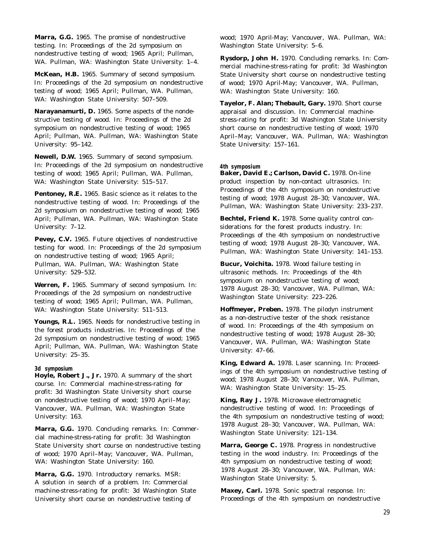**Marra, G.G.** 1965. The promise of nondestructive testing. In: Proceedings of the 2d symposium on nondestructive testing of wood; 1965 April; Pullman, WA. Pullman, WA: Washington State University: 1–4.

**McKean, H.B.** 1965. Summary of second symposium. In: Proceedings of the 2d symposium on nondestructive testing of wood; 1965 April; Pullman, WA. Pullman, WA: Washington State University: 507–509.

**Narayanamurti, D.** 1965. Some aspects of the nondestructive testing of wood. In: Proceedings of the 2d symposium on nondestructive testing of wood; 1965 April; Pullman, WA. Pullman, WA: Washington State University: 95–142.

**Newell, D.W.** 1965. Summary of second symposium. In: Proceedings of the 2d symposium on nondestructive testing of wood; 1965 April; Pullman, WA. Pullman, WA: Washington State University: 515–517.

**Pentoney, R.E.** 1965. Basic science as it relates to the nondestructive testing of wood. In: Proceedings of the 2d symposium on nondestructive testing of wood; 1965 April; Pullman, WA. Pullman, WA: Washington State University: 7–12.

Pevey, C.V. 1965. Future objectives of nondestructive testing for wood. In: Proceedings of the 2d symposium on nondestructive testing of wood; 1965 April; Pullman, WA. Pullman, WA: Washington State University: 529–532.

**Werren, F.** 1965. Summary of second symposium. In: Proceedings of the 2d symposium on nondestructive testing of wood; 1965 April; Pullman, WA. Pullman, WA: Washington State University: 511–513.

**Youngs, R.L.** 1965. Needs for nondestructive testing in the forest products industries. In: Proceedings of the 2d symposium on nondestructive testing of wood; 1965 April; Pullman, WA. Pullman, WA: Washington State University: 25–35.

### **3d symposium**

**Hoyle, Robert J., Jr.** 1970. A summary of the short course. In: Commercial machine-stress-rating for profit: 3d Washington State University short course on nondestructive testing of wood; 1970 April–May; Vancouver, WA. Pullman, WA: Washington State University: 163.

**Marra, G.G.** 1970. Concluding remarks. In: Commercial machine-stress-rating for profit: 3d Washington State University short course on nondestructive testing of wood; 1970 April–May; Vancouver, WA. Pullman, WA: Washington State University: 160.

**Marra, G.G.** 1970. Introductory remarks. MSR: A solution in search of a problem. In: Commercial machine-stress-rating for profit: 3d Washington State University short course on nondestructive testing of

wood; 1970 April-May; Vancouver, WA. Pullman, WA: Washington State University: 5–6.

**Rysdorp, John H.** 1970. Concluding remarks. In: Commercial machine-stress-rating for profit: 3d Washington State University short course on nondestructive testing of wood; 1970 April-May; Vancouver, WA. Pullman, WA: Washington State University: 160.

**Tayelor, F. Alan; Thebault, Gary.** 1970. Short course appraisal and discussion. In: Commercial machinestress-rating for profit: 3d Washington State University short course on nondestructive testing of wood; 1970 April–May; Vancouver, WA. Pullman, WA: Washington State University: 157–161.

#### **4th symposium**

Baker, David E.; Carlson, David C. 1978. On-line product inspection by non-contact ultrasonics. In: Proceedings of the 4th symposium on nondestructive testing of wood; 1978 August 28–30; Vancouver, WA. Pullman, WA: Washington State University: 233–237.

**Bechtel, Friend K.** 1978. Some quality control considerations for the forest products industry. In: Proceedings of the 4th symposium on nondestructive testing of wood; 1978 August 28–30; Vancouver, WA. Pullman, WA: Washington State University: 141–153.

**Bucur, Voichita.** 1978. Wood failure testing in ultrasonic methods. In: Proceedings of the 4th symposium on nondestructive testing of wood; 1978 August 28–30; Vancouver, WA. Pullman, WA: Washington State University: 223–226.

**Hoffmeyer, Preben.** 1978. The pilodyn instrument as a non-destructive tester of the shock resistance of wood. In: Proceedings of the 4th symposium on nondestructive testing of wood; 1978 August 28–30; Vancouver, WA. Pullman, WA: Washington State University: 47–66.

**King, Edward A.** 1978. Laser scanning. In: Proceedings of the 4th symposium on nondestructive testing of wood; 1978 August 28–30; Vancouver, WA. Pullman, WA: Washington State University: 15–25.

**King, Ray J.** 1978. Microwave electromagnetic nondestructive testing of wood. In: Proceedings of the 4th symposium on nondestructive testing of wood; 1978 August 28–30; Vancouver, WA. Pullman, WA: Washington State University: 121–134.

**Marra, George C.** 1978. Progress in nondestructive testing in the wood industry. In: Proceedings of the 4th symposium on nondestructive testing of wood; 1978 August 28–30; Vancouver, WA. Pullman, WA: Washington State University: 5.

**Maxey, Carl.** 1978. Sonic spectral response. In: Proceedings of the 4th symposium on nondestructive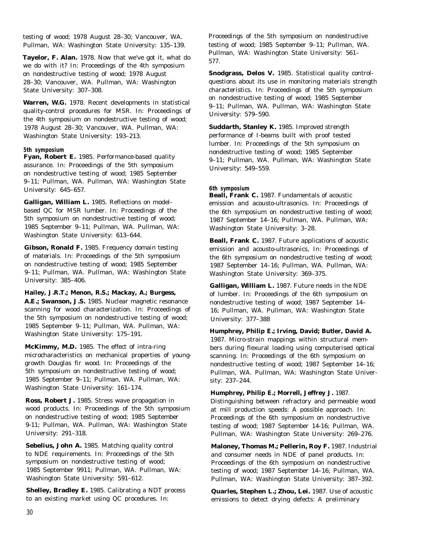testing of wood; 1978 August 28–30; Vancouver, WA. Pullman, WA: Washington State University: 135–139.

**Tayelor, F. Alan.** 1978. Now that we've got it, what do we do with it? In: Proceedings of the 4th symposium on nondestructive testing of wood; 1978 August 28–30; Vancouver, WA. Pullman, WA: Washington State University: 307–308.

**Warren, W.G.** 1978. Recent developments in statistical quality-control procedures for MSR. In: Proceedings of the 4th symposium on nondestructive testing of wood; 1978 August 28–30; Vancouver, WA. Pullman, WA: Washington State University: 193–213.

### **5th symposium**

**Fyan, Robert E.** 1985. Performance-based quality assurance. In: Proceedings of the 5th symposium on nondestructive testing of wood; 1985 September 9–11; Pullman, WA. Pullman, WA: Washington State University: 645–657.

**Galligan, William L.** 1985. Reflections on modelbased QC for MSR lumber. In: Proceedings of the 5th symposium on nondestructive testing of wood; 1985 September 9–11; Pullman, WA. Pullman, WA: Washington State University: 613–644.

**Gibson, Ronald F.** 1985. Frequency domain testing of materials. In: Proceedings of the 5th symposium on nondestructive testing of wood; 1985 September 9–11; Pullman, WA. Pullman, WA: Washington State University: 385–406.

# **Hailey, J.R.T.; Menon, R.S.; Mackay, A.; Burgess,**

**A.E.; Swanson, J.S.** 1985. Nuclear magnetic resonance scanning for wood characterization. In: Proceedings of the 5th symposium on nondestructive testing of wood; 1985 September 9–11; Pullman, WA. Pullman, WA: Washington State University: 175–191.

**McKimmy, M.D.** 1985. The effect of intra-ring microcharacteristics on mechanical properties of younggrowth Douglas fir wood. In: Proceedings of the 5th symposium on nondestructive testing of wood; 1985 September 9–11; Pullman, WA. Pullman, WA: Washington State University: 161–174.

**Ross, Robert J.** 1985. Stress wave propagation in wood products. In: Proceedings of the 5th symposium on nondestructive testing of wood; 1985 September 9-11; Pullman, WA. Pullman, WA: Washington State University: 291–318.

**Sebelius, John A.** 1985. Matching quality control to NDE requirements. In: Proceedings of the 5th symposium on nondestructive testing of wood; 1985 September 9911; Pullman, WA. Pullman, WA: Washington State University: 591–612.

**Shelley, Bradley E.** 1985. Calibrating a NDT process to an existing market using QC procedures. In:

Proceedings of the 5th symposium on nondestructive testing of wood; 1985 September 9–11; Pullman, WA. Pullman, WA: Washington State University: 561– 577.

**Snodgrass, Delos V.** 1985. Statistical quality controlquestions about its use in monitoring materials strength characteristics. In: Proceedings of the 5th symposium on nondestructive testing of wood; 1985 September 9–11; Pullman, WA. Pullman, WA: Washington State University: 579–590.

**Suddarth, Stanley K.** 1985. Improved strength performance of I-beams built with proof tested lumber. In: Proceedings of the 5th symposium on nondestructive testing of wood; 1985 September 9–11; Pullman, WA. Pullman, WA: Washington State University: 549–559.

#### **6th symposium**

**Beall, Frank C.** 1987. Fundamentals of acoustic emission and acousto-ultrasonics. In: Proceedings of the 6th symposium on nondestructive testing of wood; 1987 September 14–16; Pullman, WA. Pullman, WA: Washington State University: 3–28.

**Beall, Frank C.** 1987. Future applications of acoustic emission and acousto-ultrasonics, In: Proceedings of the 6th symposium on nondestructive testing of wood; 1987 September 14–16; Pullman, WA. Pullman, WA: Washington State University: 369–375.

**Galligan, William L.** 1987. Future needs in the NDE of lumber. In: Proceedings of the 6th symposium on nondestructive testing of wood; 1987 September 14– 16; Pullman, WA. Pullman, WA: Washington State University: 377–388

**Humphrey, Philip E.; Irving, David; Butler, David A.** 1987. Micro-strain mappings within structural members during flexural loading using computerised optical scanning. In: Proceedings of the 6th symposium on nondestructive testing of wood; 1987 September 14–16; Pullman, WA. Pullman, WA: Washington State University: 237–244.

**Humphrey, Philip E.; Morrell, Jeffrey J.** 1987. Distinguishing between refractory and permeable wood at mill production speeds: A possible approach. In: Proceedings of the 6th symposium on nondestructive testing of wood; 1987 September 14-16; Pullman, WA. Pullman, WA: Washington State University: 269–276.

Maloney, Thomas M.; Pellerin, Roy F. 1987. Industrial and consumer needs in NDE of panel products. In: Proceedings of the 6th symposium on nondestructive testing of wood; 1987 September 14–16; Pullman, WA. Pullman, WA: Washington State University: 387–392.

**Quarles, Stephen L.; Zhou, Lei.** 1987. Use of acoustic emissions to detect drying defects: A preliminary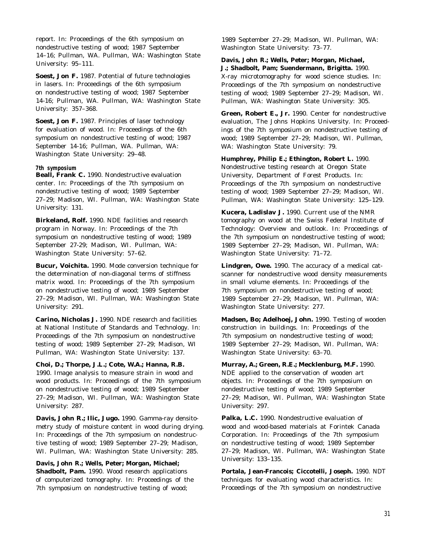report. In: Proceedings of the 6th symposium on nondestructive testing of wood; 1987 September 14–16; Pullman, WA. Pullman, WA: Washington State University: 95–111.

**Soest, Jon F.** 1987. Potential of future technologies in lasers. In: Proceedings of the 6th symposium on nondestructive testing of wood; 1987 September 14-16; Pullman, WA. Pullman, WA: Washington State University: 357–368.

**Soest, Jon F.** 1987. Principles of laser technology for evaluation of wood. In: Proceedings of the 6th symposium on nondestructive testing of wood; 1987 September 14-16; Pullman, WA. Pullman, WA: Washington State University: 29–48.

# **7th symposium**

**Beall, Frank C.** 1990. Nondestructive evaluation center. In: Proceedings of the 7th symposium on nondestructive testing of wood; 1989 September 27–29; Madison, WI. Pullman, WA: Washington State University: 131.

**Birkeland, Rolf.** 1990. NDE facilities and research program in Norway. In: Proceedings of the 7th symposium on nondestructive testing of wood; 1989 September 27-29; Madison, WI. Pullman, WA: Washington State University: 57–62.

**Bucur, Voichita.** 1990. Mode conversion technique for the determination of non-diagonal terms of stiffness matrix wood. In: Proceedings of the 7th symposium on nondestructive testing of wood; 1989 September 27–29; Madison, WI. Pullman, WA: Washington State University: 291.

**Carino, Nicholas J.** 1990. NDE research and facilities at National Institute of Standards and Technology. In: Proceedings of the 7th symposium on nondestructive testing of wood; 1989 September 27–29; Madison, WI Pullman, WA: Washington State University: 137.

**Choi, D.; Thorpe, J.L.; Cote, W.A.; Hanna, R.B.** 1990. Image analysis to measure strain in wood and wood products. In: Proceedings of the 7th symposium on nondestructive testing of wood; 1989 September 27–29; Madison, WI. Pullman, WA: Washington State University: 287.

**Davis, John R.; Ilic, Jugo.** 1990. Gamma-ray densitometry study of moisture content in wood during drying. In: Proceedings of the 7th symposium on nondestructive testing of wood; 1989 September 27–29; Madison, WI. Pullman, WA: Washington State University: 285.

**Davis, John R.; Wells, Peter; Morgan, Michael; Shadbolt, Pam.** 1990. Wood research applications of computerized tomography. In: Proceedings of the 7th symposium on nondestructive testing of wood;

1989 September 27–29; Madison, WI. Pullman, WA: Washington State University: 73–77.

# **Davis, John R.; Wells, Peter; Morgan, Michael, J.; Shadbolt, Pam; Suendermann, Brigitta.** 1990. X-ray microtomography for wood science studies. In: Proceedings of the 7th symposium on nondestructive

testing of wood; 1989 September 27–29; Madison, WI. Pullman, WA: Washington State University: 305.

**Green, Robert E., Jr.** 1990. Center for nondestructive evaluation, The Johns Hopkins University. In: Proceedings of the 7th symposium on nondestructive testing of wood; 1989 September 27–29; Madison, WI. Pullman, WA: Washington State University: 79.

**Humphrey, Philip E.; Ethington, Robert L.** 1990. Nondestructive testing research at Oregon State University, Department of Forest Products. In: Proceedings of the 7th symposium on nondestructive testing of wood; 1989 September 27–29; Madison, WI. Pullman, WA: Washington State University: 125–129.

**Kucera, Ladislav J.** 1990. Current use of the NMR tomography on wood at the Swiss Federal Institute of Technology: Overview and outlook. In: Proceedings of the 7th symposium on nondestructive testing of wood; 1989 September 27–29; Madison, WI. Pullman, WA: Washington State University: 71–72.

**Lindgren, Owe.** 1990. The accuracy of a medical catscanner for nondestructive wood density measurements in small volume elements. In: Proceedings of the 7th symposium on nondestructive testing of wood; 1989 September 27–29; Madison, WI. Pullman, WA: Washington State University: 277.

**Madsen, Bo; Adelhoej, John.** 1990. Testing of wooden construction in buildings. In: Proceedings of the 7th symposium on nondestructive testing of wood; 1989 September 27–29; Madison, WI. Pullman, WA: Washington State University: 63–70.

**Murray, A.; Green, R.E.; Mecklenburg, M.F.** 1990. NDE applied to the conservation of wooden art objects. In: Proceedings of the 7th symposium on nondestructive testing of wood; 1989 September 27–29; Madison, WI. Pullman, WA: Washington State University: 297.

**Palka, L.C.** 1990. Nondestructive evaluation of wood and wood-based materials at Forintek Canada Corporation. In: Proceedings of the 7th symposium on nondestructive testing of wood; 1989 September 27–29; Madison, WI. Pullman, WA: Washington State University: 133–135.

**Portala, Jean-Francois; Ciccotelli, Joseph.** 1990. NDT techniques for evaluating wood characteristics. In: Proceedings of the 7th symposium on nondestructive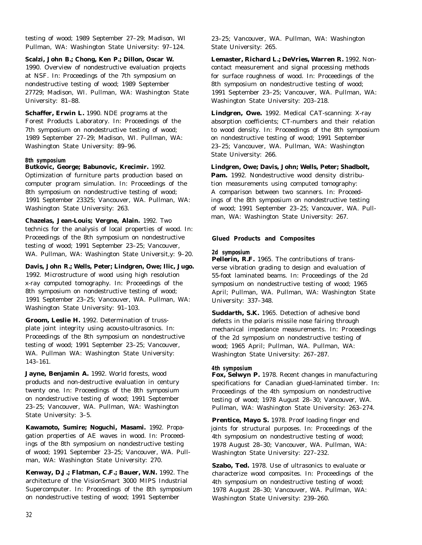testing of wood; 1989 September 27–29; Madison, WI Pullman, WA: Washington State University: 97–124.

### **Scalzi, John B.; Chong, Ken P.; Dillon, Oscar W.**

1990. Overview of nondestructive evaluation projects at NSF. In: Proceedings of the 7th symposium on nondestructive testing of wood; 1989 September 27729; Madison, WI. Pullman, WA: Washington State University: 81–88.

**Schaffer, Erwin L.** 1990. NDE programs at the Forest Products Laboratory. In: Proceedings of the 7th symposium on nondestructive testing of wood; 1989 September 27–29; Madison, WI. Pullman, WA: Washington State University: 89–96.

### **8th symposium**

**Butkovic, George; Babunovic, Krecimir.** 1992.

Optimization of furniture parts production based on computer program simulation. In: Proceedings of the 8th symposium on nondestructive testing of wood; 1991 September 23325; Vancouver, WA. Pullman, WA: Washington State University: 263.

**Chazelas, Jean-Louis; Vergne, Alain.** 1992. Two technics for the analysis of local properties of wood. In: Proceedings of the 8th symposium on nondestructive testing of wood; 1991 September 23–25; Vancouver, WA. Pullman, WA: Washington State Universit,y: 9–20.

**Davis, John R.; Wells, Peter; Lindgren, Owe; Ilic, Jugo.** 1992. Microstructure of wood using high resolution x-ray computed tomography. In: Proceedings of the 8th symposium on nondestructive testing of wood; 1991 September 23–25; Vancouver, WA. Pullman, WA: Washington State University: 91–103.

**Groom, Leslie H.** 1992. Determination of trussplate joint integrity using acousto-ultrasonics. In: Proceedings of the 8th symposium on nondestructive testing of wood; 1991 September 23–25; Vancouver, WA. Pullman WA: Washington State University: 143–161.

**Jayne, Benjamin A.** 1992. World forests, wood products and non-destructive evaluation in century twenty one. In: Proceedings of the 8th symposium on nondestructive testing of wood; 1991 September 23–25; Vancouver, WA. Pullman, WA: Washington State University: 3–5.

**Kawamoto, Sumire; Noguchi, Masami.** 1992. Propagation properties of AE waves in wood. In: Proceedings of the 8th symposium on nondestructive testing of wood; 1991 September 23–25; Vancouver, WA. Pullman, WA: Washington State University: 270.

**Kenway, D.J.; Flatman, C.F.; Bauer, W.N.** 1992. The architecture of the VisionSmart 3000 MIPS Industrial Supercomputer. In: Proceedings of the 8th symposium on nondestructive testing of wood; 1991 September

23–25; Vancouver, WA. Pullman, WA: Washington State University: 265.

**Lemaster, Richard L.; DeVries, Warren R.** 1992. Noncontact measurement and signal processing methods for surface roughness of wood. In: Proceedings of the 8th symposium on nondestructive testing of wood; 1991 September 23–25; Vancouver, WA. Pullman, WA: Washington State University: 203–218.

**Lindgren, Owe.** 1992. Medical CAT-scanning: X-ray absorption coefficients; CT-numbers and their relation to wood density. In: Proceedings of the 8th symposium on nondestructive testing of wood; 1991 September 23–25; Vancouver, WA. Pullman, WA: Washington State University: 266.

**Lindgren, Owe; Davis, John; Wells, Peter; Shadbolt,**

Pam. 1992. Nondestructive wood density distribution measurements using computed tomography: A comparison between two scanners. In: Proceedings of the 8th symposium on nondestructive testing of wood; 1991 September 23–25; Vancouver, WA. Pullman, WA: Washington State University: 267.

#### **Glued Products and Composites**

#### **2d symposium**

**Pellerin, R.F.** 1965. The contributions of transverse vibration grading to design and evaluation of 55-foot laminated beams. In: Proceedings of the 2d symposium on nondestructive testing of wood; 1965 April; Pullman, WA. Pullman, WA: Washington State University: 337–348.

**Suddarth, S.K.** 1965. Detection of adhesive bond defects in the polaris missile nose fairing through mechanical impedance measurements. In: Proceedings of the 2d symposium on nondestructive testing of wood; 1965 April; Pullman, WA. Pullman, WA: Washington State University: 267–287.

## **4th symposium**

**Fox, Selwyn P.** 1978. Recent changes in manufacturing specifications for Canadian glued-laminated timber. In: Proceedings of the 4th symposium on nondestructive testing of wood; 1978 August 28–30; Vancouver, WA. Pullman, WA: Washington State University: 263–274.

Prentice, Mayo S. 1978. Proof loading finger end joints for structural purposes. In: Proceedings of the 4th symposium on nondestructive testing of wood; 1978 August 28–30; Vancouver, WA. Pullman, WA: Washington State University: 227–232.

**Szabo, Ted.** 1978. Use of ultrasonics to evaluate or characterize wood composites. In: Proceedings of the 4th symposium on nondestructive testing of wood; 1978 August 28–30; Vancouver, WA. Pullman, WA: Washington State University: 239–260.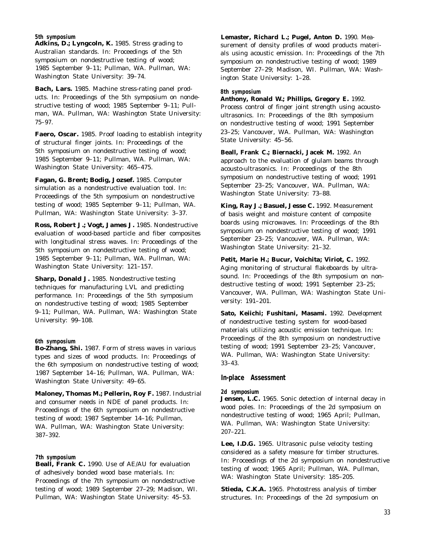**5th symposium**

Adkins, D.; Lyngcoln, K. 1985. Stress grading to Australian standards. In: Proceedings of the 5th symposium on nondestructive testing of wood; 1985 September 9–11; Pullman, WA. Pullman, WA: Washington State University: 39–74.

**Bach, Lars.** 1985. Machine stress-rating panel products. In: Proceedings of the 5th symposium on nondestructive testing of wood; 1985 September 9–11; Pullman, WA. Pullman, WA: Washington State University: 75–97.

**Faero, Oscar.** 1985. Proof loading to establish integrity of structural finger joints. In: Proceedings of the 5th symposium on nondestructive testing of wood; 1985 September 9–11; Pullman, WA. Pullman, WA: Washington State University: 465–475.

**Fagan, G. Brent; Bodig, Jozsef.** 1985. Computer simulation as a nondestructive evaluation tool. In: Proceedings of the 5th symposium on nondestructive testing of wood; 1985 September 9–11; Pullman, WA. Pullman, WA: Washington State University: 3–37.

**Ross, Robert J.; Vogt, James J.** 1985. Nondestructive evaluation of wood-based particle and fiber composites with longitudinal stress waves. In: Proceedings of the 5th symposium on nondestructive testing of wood; 1985 September 9–11; Pullman, WA. Pullman, WA: Washington State University: 121–157.

**Sharp, Donald J.** 1985. Nondestructive testing techniques for manufacturing LVL and predicting performance. In: Proceedings of the 5th symposium on nondestructive testing of wood; 1985 September 9–11; Pullman, WA. Pullman, WA: Washington State University: 99–108.

#### **6th symposium**

**Bo-Zhang, Shi.** 1987. Form of stress waves in various types and sizes of wood products. In: Proceedings of the 6th symposium on nondestructive testing of wood; 1987 September 14–16; Pullman, WA. Pullman, WA: Washington State University: 49–65.

Maloney, Thomas M.; Pellerin, Roy F. 1987. Industrial and consumer needs in NDE of panel products. In: Proceedings of the 6th symposium on nondestructive testing of wood; 1987 September 14–16; Pullman, WA. Pullman, WA: Washington State University: 387–392.

#### **7th symposium**

**Beall, Frank C.** 1990. Use of AE/AU for evaluation of adhesively bonded wood base materials. In: Proceedings of the 7th symposium on nondestructive testing of wood; 1989 September 27–29; Madison, WI. Pullman, WA: Washington State University: 45–53.

**Lemaster, Richard L.; Pugel, Anton D.** 1990. Measurement of density profiles of wood products materials using acoustic emission. In: Proceedings of the 7th symposium on nondestructive testing of wood; 1989 September 27–29; Madison, WI. Pullman, WA: Washington State University: 1–28.

#### **8th symposium**

**Anthony, Ronald W.; Phillips, Gregory E.** 1992. Process control of finger joint strength using acoustoultrasonics. In: Proceedings of the 8th symposium on nondestructive testing of wood; 1991 September 23–25; Vancouver, WA. Pullman, WA: Washington State University: 45–56.

**Beall, Frank C.; Biernacki, Jacek M.** 1992. An approach to the evaluation of glulam beams through acousto-ultrasonics. In: Proceedings of the 8th symposium on nondestructive testing of wood; 1991 September 23–25; Vancouver, WA. Pullman, WA: Washington State University: 73–88.

**King, Ray J.; Basuel, Jesse C.** 1992. Measurement of basis weight and moisture content of composite boards using microwaves. In: Proceedings of the 8th symposium on nondestructive testing of wood; 1991 September 23–25; Vancouver, WA. Pullman, WA: Washington State University: 21–32.

**Petit, Marie H.; Bucur, Voichita; Viriot, C.** 1992. Aging monitoring of structural flakeboards by ultrasound. In: Proceedings of the 8th symposium on nondestructive testing of wood; 1991 September 23–25; Vancouver, WA. Pullman, WA: Washington State University: 191–201.

**Sato, Keiichi; Fushitani, Masami.** 1992. Development of nondestructive testing system for wood-based materials utilizing acoustic emission technique. In: Proceedings of the 8th symposium on nondestructive testing of wood; 1991 September 23–25; Vancouver, WA. Pullman, WA: Washington State University: 33–43.

#### **In-place Assessment**

#### **2d symposium**

**Jensen, L.C.** 1965. Sonic detection of internal decay in wood poles. In: Proceedings of the 2d symposium on nondestructive testing of wood; 1965 April; Pullman, WA. Pullman, WA: Washington State University: 207–221.

**Lee, I.D.G.** 1965. Ultrasonic pulse velocity testing considered as a safety measure for timber structures. In: Proceedings of the 2d symposium on nondestructive testing of wood; 1965 April; Pullman, WA. Pullman, WA: Washington State University: 185–205.

**Stieda, C.K.A.** 1965. Photostress analysis of timber structures. In: Proceedings of the 2d symposium on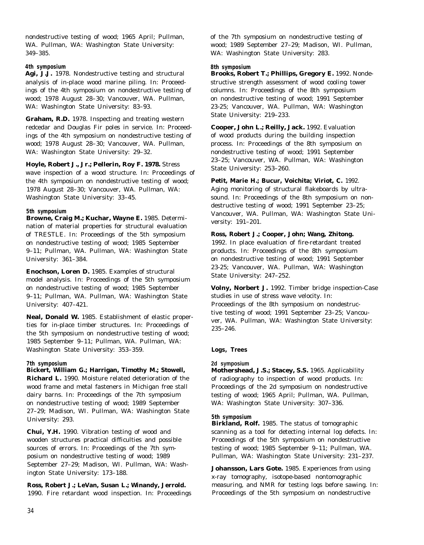nondestructive testing of wood; 1965 April; Pullman, WA. Pullman, WA: Washington State University: 349–385.

# **4th symposium**

Agi, J.J. 1978. Nondestructive testing and structural analysis of in-place wood marine piling. In: Proceedings of the 4th symposium on nondestructive testing of wood; 1978 August 28–30; Vancouver, WA. Pullman, WA: Washington State University: 83–93.

**Graham, R.D.** 1978. Inspecting and treating western redcedar and Douglas Fir poles in service. In: Proceedings of the 4th symposium on nondestructive testing of wood; 1978 August 28–30; Vancouver, WA. Pullman, WA: Washington State University: 29–32.

# **Hoyle, Robert J., Jr.; Pellerin, Roy F. 1978.** Stress

wave inspection of a wood structure. In: Proceedings of the 4th symposium on nondestructive testing of wood; 1978 August 28–30; Vancouver, WA. Pullman, WA: Washington State University: 33–45.

### **5th symposium**

**Browne, Craig M.; Kuchar, Wayne E.** 1985. Determination of material properties for structural evaluation of TRESTLE. In: Proceedings of the 5th symposium on nondestructive testing of wood; 1985 September 9–11; Pullman, WA. Pullman, WA: Washington State University: 361–384.

**Enochson, Loren D.** 1985. Examples of structural model analysis. In: Proceedings of the 5th symposium on nondestructive testing of wood; 1985 September 9–11; Pullman, WA. Pullman, WA: Washington State University: 407–421.

**Neal, Donald W.** 1985. Establishment of elastic properties for in-place timber structures. In: Proceedings of the 5th symposium on nondestructive testing of wood; 1985 September 9–11; Pullman, WA. Pullman, WA: Washington State University: 353–359.

### **7th symposium**

**Bickert, William G.; Harrigan, Timothy M.; Stowell, Richard L.** 1990. Moisture related deterioration of the wood frame and metal fasteners in Michigan free stall dairy barns. In: Proceedings of the 7th symposium on nondestructive testing of wood; 1989 September 27–29; Madison, WI. Pullman, WA: Washington State University: 293.

**Chui, Y.H.** 1990. Vibration testing of wood and wooden structures practical difficulties and possible sources of errors. In: Proceedings of the 7th symposium on nondestructive testing of wood; 1989 September 27–29; Madison, WI. Pullman, WA: Washington State University: 173–188.

# **Ross, Robert J.; LeVan, Susan L.; Winandy, Jerrold.**

1990. Fire retardant wood inspection. In: Proceedings

of the 7th symposium on nondestructive testing of wood; 1989 September 27–29; Madison, WI. Pullman, WA: Washington State University: 283.

### **8th symposium**

**Brooks, Robert T.; Phillips, Gregory E.** 1992. Nondestructive strength assessment of wood cooling tower columns. In: Proceedings of the 8th symposium on nondestructive testing of wood; 1991 September 23-25; Vancouver, WA. Pullman, WA: Washington State University: 219–233.

**Cooper, John L.; Reilly, Jack.** 1992. Evaluation of wood products during the building inspection process. In: Proceedings of the 8th symposium on nondestructive testing of wood; 1991 September 23–25; Vancouver, WA. Pullman, WA: Washington State University: 253–260.

**Petit, Marie H.; Bucur, Voichita; Viriot, C.** 1992. Aging monitoring of structural flakeboards by ultrasound. In: Proceedings of the 8th symposium on nondestructive testing of wood; 1991 September 23–25; Vancouver, WA. Pullman, WA: Washington State University: 191–201.

# **Ross, Robert J.; Cooper, John; Wang, Zhitong.**

1992. In place evaluation of fire-retardant treated products. In: Proceedings of the 8th symposium on nondestructive testing of wood; 1991 September 23-25; Vancouver, WA. Pullman, WA: Washington State University: 247–252.

**Volny, Norbert J.** 1992. Timber bridge inspection-Case studies in use of stress wave velocity. In: Proceedings of the 8th symposium on nondestructive testing of wood; 1991 September 23–25; Vancouver, WA. Pullman, WA: Washington State University: 235–246.

**Logs, Trees**

### **2d symposium**

**Mothershead, J.S.; Stacey, S.S.** 1965. Applicability of radiography to inspection of wood products. In: Proceedings of the 2d symposium on nondestructive testing of wood; 1965 April; Pullman, WA. Pullman, WA: Washington State University: 307–336.

# **5th symposium**

**Birkland, Rolf.** 1985. The status of tomographic scanning as a tool for detecting internal log defects. In: Proceedings of the 5th symposium on nondestructive testing of wood; 1985 September 9–11; Pullman, WA. Pullman, WA: Washington State University: 231–237.

**Johansson, Lars Gote.** 1985. Experiences from using x-ray tomography, isotope-based nontomographic measuring, and NMR for testing logs before sawing. In: Proceedings of the 5th symposium on nondestructive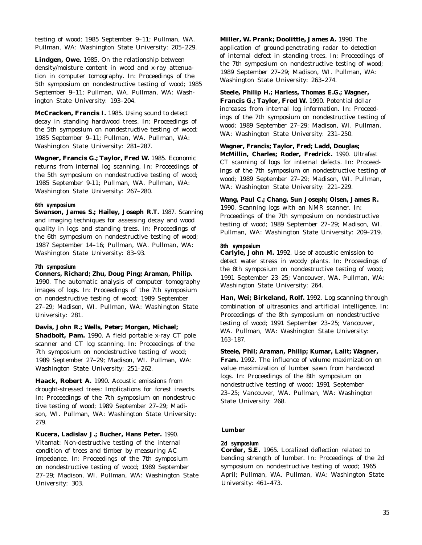testing of wood; 1985 September 9–11; Pullman, WA. Pullman, WA: Washington State University: 205–229.

**Lindgen, Owe.** 1985. On the relationship between density/moisture content in wood and x-ray attenuation in computer tomography. In: Proceedings of the 5th symposium on nondestructive testing of wood; 1985 September 9–11; Pullman, WA. Pullman, WA: Washington State University: 193–204.

**McCracken, Francis I.** 1985. Using sound to detect decay in standing hardwood trees. In: Proceedings of the 5th symposium on nondestructive testing of wood; 1985 September 9–11; Pullman, WA. Pullman, WA: Washington State University: 281–287.

**Wagner, Francis G.; Taylor, Fred W.** 1985. Economic returns from internal log scanning. In: Proceedings of the 5th symposium on nondestructive testing of wood; 1985 September 9-11; Pullman, WA. Pullman, WA: Washington State University: 267–280.

#### **6th symposium**

**Swanson, James S.; Hailey, Joseph R.T.** 1987. Scanning and imaging techniques for assessing decay and wood quality in logs and standing trees. In: Proceedings of the 6th symposium on nondestructive testing of wood; 1987 September 14–16; Pullman, WA. Pullman, WA: Washington State University: 83–93.

#### **7th symposium**

# **Conners, Richard; Zhu, Doug Ping; Araman, Philip.**

1990. The automatic analysis of computer tomography images of logs. In: Proceedings of the 7th symposium on nondestructive testing of wood; 1989 September 27–29; Madison, WI. Pullman, WA: Washington State University: 281.

# **Davis, John R.; Wells, Peter; Morgan, Michael;**

**Shadbolt, Pam.** 1990. A field portable x-ray CT pole scanner and CT log scanning. In: Proceedings of the 7th symposium on nondestructive testing of wood; 1989 September 27–29; Madison, WI. Pullman, WA: Washington State University: 251–262.

**Haack, Robert A.** 1990. Acoustic emissions from drought-stressed trees: Implications for forest insects. In: Proceedings of the 7th symposium on nondestructive testing of wood; 1989 September 27–29; Madison, WI. Pullman, WA: Washington State University: 279.

**Kucera, Ladislav J.; Bucher, Hans Peter.** 1990. Vitamat: Non-destructive testing of the internal condition of trees and timber by measuring AC impedance. In: Proceedings of the 7th symposium on nondestructive testing of wood; 1989 September 27–29; Madison, WI. Pullman, WA: Washington State University: 303.

**Miller, W. Prank; Doolittle, James A.** 1990. The application of ground-penetrating radar to detection of internal defect in standing trees. In: Proceedings of the 7th symposium on nondestructive testing of wood; 1989 September 27–29; Madison, WI. Pullman, WA: Washington State University: 263–274.

# **Steele, Philip H.; Harless, Thomas E.G.; Wagner,**

**Francis G.; Taylor, Fred W.** 1990. Potential dollar increases from internal log information. In: Proceedings of the 7th symposium on nondestructive testing of wood; 1989 September 27–29; Madison, WI. Pullman, WA: Washington State University: 231–250.

# **Wagner, Francis; Taylor, Fred; Ladd, Douglas;**

**McMillin, Charles; Roder, Fredrick.** 1990. Ultrafast CT scanning of logs for internal defects. In: Proceedings of the 7th symposium on nondestructive testing of wood; 1989 September 27–29; Madison, WI. Pullman, WA: Washington State University: 221–229.

# **Wang, Paul C.; Chang, Sun Joseph; Olsen, James R.**

1990. Scanning logs with an NMR scanner. In: Proceedings of the 7th symposium on nondestructive testing of wood; 1989 September 27–29; Madison, WI. Pullman, WA: Washington State University: 209–219.

### **8th symposium**

**Carlyle, John M.** 1992. Use of acoustic emission to detect water stress in woody plants. In: Proceedings of the 8th symposium on nondestructive testing of wood; 1991 September 23–25; Vancouver, WA. Pullman, WA: Washington State University: 264.

**Han, Wei; Birkeland, Rolf.** 1992. Log scanning through combination of ultrasonics and artificial intelligence. In: Proceedings of the 8th symposium on nondestructive testing of wood; 1991 September 23–25; Vancouver, WA. Pullman, WA: Washington State University: 163–187.

# **Steele, Phil; Araman, Philip; Kumar, Lalit; Wagner,**

**Fran.** 1992. The influence of volume maximization on value maximization of lumber sawn from hardwood logs. In: Proceedings of the 8th symposium on nondestructive testing of wood; 1991 September 23–25; Vancouver, WA. Pullman, WA: Washington State University: 268.

### **Lumber**

# **2d symposium**

**Corder, S.E.** 1965. Localized deflection related to bending strength of lumber. In: Proceedings of the 2d symposium on nondestructive testing of wood; 1965 April; Pullman, WA. Pullman, WA: Washington State University: 461–473.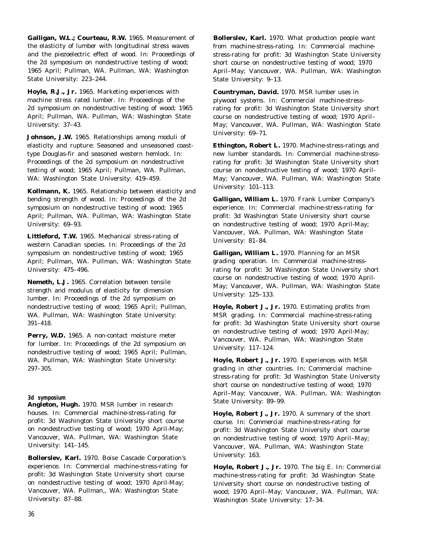**Galligan, W.L.; Courteau, R.W.** 1965. Measurement of the elasticity of lumber with longitudinal stress waves and the piezoelectric effect of wood. In: Proceedings of the 2d symposium on nondestructive testing of wood; 1965 April; Pullman, WA. Pullman, WA: Washington State University: 223–244.

**Hoyle, R.J., Jr.** 1965. Marketing experiences with machine stress rated lumber. In: Proceedings of the 2d symposium on nondestructive testing of wood; 1965 April; Pullman, WA. Pullman, WA: Washington State University: 37–43.

**Johnson, J.W.** 1965. Relationships among moduli of elasticity and rupture: Seasoned and unseasoned coasttype Douglas-fir and seasoned western hemlock. In: Proceedings of the 2d symposium on nondestructive testing of wood; 1965 April; Pullman, WA. Pullman, WA: Washington State University: 419–459.

**Kollmann, K.** 1965. Relationship between elasticity and bending strength of wood. In: Proceedings of the 2d symposium on nondestructive testing of wood; 1965 April; Pullman, WA. Pullman, WA: Washington State University: 69–93.

**Littleford, T.W.** 1965. Mechanical stress-rating of western Canadian species. In: Proceedings of the 2d symposium on nondestructive testing of wood; 1965 April; Pullman, WA. Pullman, WA: Washington State University: 475–496.

**Nemeth, L.J.** 1965. Correlation between tensile strength and modulus of elasticity for dimension lumber. In: Proceedings of the 2d symposium on nondestructive testing of wood; 1965 April; Pullman, WA. Pullman, WA: Washington State University: 391–418.

Perry, W.D. 1965. A non-contact moisture meter for lumber. In: Proceedings of the 2d symposium on nondestructive testing of wood; 1965 April; Pullman, WA. Pullman, WA: Washington State University: 297–305.

### **3d symposium**

**Angleton, Hugh.** 1970. MSR lumber in research houses. In: Commercial machine-stress-rating for profit: 3d Washington State University short course on nondestructive testing of wood; 1970 April-May; Vancouver, WA. Pullman, WA: Washington State University: 141–145.

**Bollerslev, Karl.** 1970. Boise Cascade Corporation's experience. In: Commercial machine-stress-rating for profit: 3d Washington State University short course on nondestructive testing of wood; 1970 April-May; Vancouver, WA. Pullman,, WA: Washington State University: 87–88.

**Bollerslev, Karl.** 1970. What production people want from machine-stress-rating. In: Commercial machinestress-rating for profit: 3d Washington State University short course on nondestructive testing of wood; 1970 April–May; Vancouver, WA. Pullman, WA: Washington State University: 9–13.

**Countryman, David.** 1970. MSR lumber uses in plywood systems. In: Commercial machine-stressrating for profit: 3d Washington State University short course on nondestructive testing of wood; 1970 April– May; Vancouver, WA. Pullman, WA: Washington State University: 69–71.

**Ethington, Robert L.** 1970. Machine-stress-ratings and new lumber standards. In: Commercial machine-stressrating for profit: 3d Washington State University short course on nondestructive testing of wood; 1970 April-May; Vancouver, WA. Pullman, WA: Washington State University: 101–113.

**Galligan, William L.** 1970. Frank Lumber Company's experience. In: Commercial machine-stress-rating for profit: 3d Washington State University short course on nondestructive testing of wood; 1970 April-May; Vancouver, WA. Pullman, WA: Washington State University: 81–84.

**Galligan, William L.** 1970. Planning for an MSR grading operation. In: Commercial machine-stressrating for profit: 3d Washington State University short course on nondestructive testing of wood; 1970 April-May; Vancouver, WA. Pullman, WA: Washington State University: 125–133.

**Hoyle, Robert J., Jr.** 1970. Estimating profits from MSR grading. In: Commercial machine-stress-rating for profit: 3d Washington State University short course on nondestructive testing of wood; 1970 April-May; Vancouver, WA. Pullman, WA: Washington State University: 117–124.

**Hoyle, Robert J., Jr.** 1970. Experiences with MSR grading in other countries. In: Commercial machinestress-rating for profit: 3d Washington State University short course on nondestructive testing of wood; 1970 April–May; Vancouver, WA. Pullman, WA: Washington State University: 89–99.

**Hoyle, Robert J., Jr.** 1970. A summary of the short course. In: Commercial machine-stress-rating for profit: 3d Washington State University short course on nondestructive testing of wood; 1970 April–May; Vancouver, WA. Pullman, WA: Washington State University: 163.

**Hoyle, Robert J., Jr.** 1970. The big E. In: Commercial machine-stress-rating for profit: 3d Washington State University short course on nondestructive testing of wood; 1970 April–May; Vancouver, WA. Pullman, WA: Washington State University: 17–34.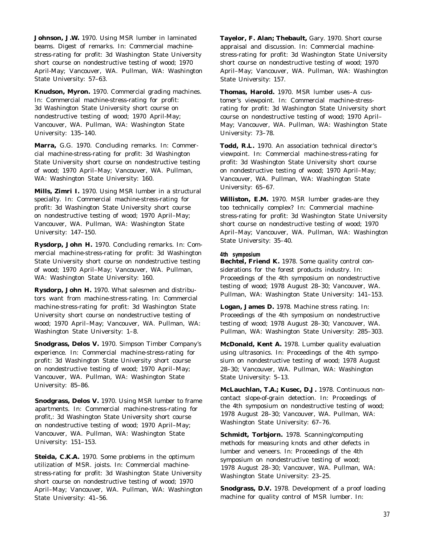**Johnson, J.W.** 1970. Using MSR lumber in laminated beams. Digest of remarks. In: Commercial machinestress-rating for profit: 3d Washington State University short course on nondestructive testing of wood; 1970 April-May; Vancouver, WA. Pullman, WA: Washington State University: 57–63.

**Knudson, Myron.** 1970. Commercial grading machines. In: Commercial machine-stress-rating for profit: 3d Washington State University short course on nondestructive testing of wood; 1970 April-May; Vancouver, WA. Pullman, WA: Washington State University: 135–140.

**Marra,** G.G. 1970. Concluding remarks. In: Commercial machine-stress-rating for profit: 3d Washington State University short course on nondestructive testing of wood; 1970 April–May; Vancouver, WA. Pullman, WA: Washington State University: 160.

**Mills, Zimri I.** 1970. Using MSR lumber in a structural specialty. In: Commercial machine-stress-rating for profit: 3d Washington State University short course on nondestructive testing of wood; 1970 April–May; Vancouver, WA. Pullman, WA: Washington State University: 147–150.

**Rysdorp, John H.** 1970. Concluding remarks. In: Commercial machine-stress-rating for profit: 3d Washington State University short course on nondestructive testing of wood; 1970 April–May; Vancouver, WA. Pullman, WA: Washington State University: 160.

**Rysdorp, John H.** 1970. What salesmen and distributors want from machine-stress-rating. In: Commercial machine-stress-rating for profit: 3d Washington State University short course on nondestructive testing of wood; 1970 April–May; Vancouver, WA. Pullman, WA: Washington State University: 1–8.

**Snodgrass, Delos V.** 1970. Simpson Timber Company's experience. In: Commercial machine-stress-rating for profit: 3d Washington State University short course on nondestructive testing of wood; 1970 April–May; Vancouver, WA. Pullman, WA: Washington State University: 85–86.

**Snodgrass, Delos V.** 1970. Using MSR lumber to frame apartments. In: Commercial machine-stress-rating for profit,: 3d Washington State University short course on nondestructive testing of wood; 1970 April–May; Vancouver, WA. Pullman, WA: Washington State University: 151–153.

**Steida, C.K.A.** 1970. Some problems in the optimum utilization of MSR. joists. In: Commercial machinestress-rating for profit: 3d Washington State University short course on nondestructive testing of wood; 1970 April–May; Vancouver, WA. Pullman, WA: Washington State University: 41–56.

**Tayelor, F. Alan; Thebault,** Gary. 1970. Short course appraisal and discussion. In: Commercial machinestress-rating for profit: 3d Washington State University short course on nondestructive testing of wood; 1970 April–May; Vancouver, WA. Pullman, WA: Washington State University: 157.

**Thomas, Harold.** 1970. MSR lumber uses–A customer's viewpoint. In: Commercial machine-stressrating for profit: 3d Washington State University short course on nondestructive testing of wood; 1970 April– May; Vancouver, WA. Pullman, WA: Washington State University: 73–78.

**Todd, R.L.** 1970. An association technical director's viewpoint. In: Commercial machine-stress-rating for profit: 3d Washington State University short course on nondestructive testing of wood; 1970 April–May; Vancouver, WA. Pullman, WA: Washington State University: 65–67.

**Williston, E.M.** 1970. MSR lumber grades-are they too technically complex? In: Commercial machinestress-rating for profit: 3d Washington State University short course on nondestructive testing of wood; 1970 April–May; Vancouver, WA. Pullman, WA: Washington State University: 35–40.

# **4th symposium**

**Bechtel, Friend K.** 1978. Some quality control considerations for the forest products industry. In: Proceedings of the 4th symposium on nondestructive testing of wood; 1978 August 28–30; Vancouver, WA. Pullman, WA: Washington State University: 141–153.

**Logan, James D.** 1978. Machine stress rating. In: Proceedings of the 4th symposium on nondestructive testing of wood; 1978 August 28–30; Vancouver, WA. Pullman, WA: Washington State University: 285–303.

**McDonald, Kent A.** 1978. Lumber quality evaluation using ultrasonics. In: Proceedings of the 4th symposium on nondestructive testing of wood; 1978 August 28–30; Vancouver, WA. Pullman, WA: Washington State University: 5–13.

**McLauchlan, T.A.; Kusec, D.J.** 1978. Continuous noncontact slope-of-grain detection. In: Proceedings of the 4th symposium on nondestructive testing of wood; 1978 August 28–30; Vancouver, WA. Pullman, WA: Washington State University: 67–76.

**Schmidt, Torbjorn.** 1978. Scanning/computing methods for measuring knots and other defects in lumber and veneers. In: Proceedings of the 4th symposium on nondestructive testing of wood; 1978 August 28–30; Vancouver, WA. Pullman, WA: Washington State University: 23–25.

**Snodgrass, D.V.** 1978. Development of a proof loading machine for quality control of MSR lumber. In: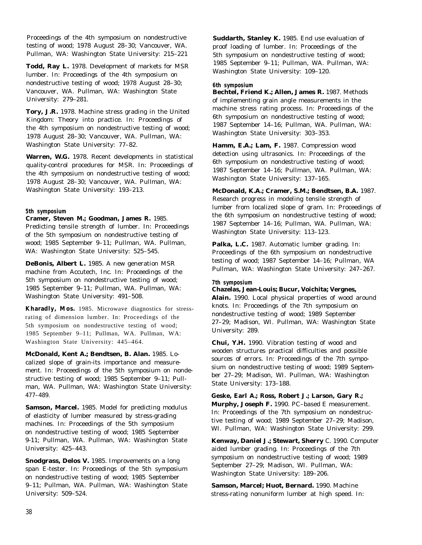Proceedings of the 4th symposium on nondestructive testing of wood; 1978 August 28–30; Vancouver, WA. Pullman, WA: Washington State University: 215–221

**Todd, Ray L.** 1978. Development of markets for MSR lumber. In: Proceedings of the 4th symposium on nondestructive testing of wood; 1978 August 28–30; Vancouver, WA. Pullman, WA: Washington State University: 279–281.

**Tory, J.R.** 1978. Machine stress grading in the United Kingdom: Theory into practice. In: Proceedings of the 4th symposium on nondestructive testing of wood; 1978 August 28–30; Vancouver, WA. Pullman, WA: Washington State University: 77–82.

**Warren, W.G.** 1978. Recent developments in statistical quality-control procedures for MSR. In: Proceedings of the 4th symposium on nondestructive testing of wood; 1978 August 28–30; Vancouver, WA. Pullman, WA: Washington State University: 193–213.

# **5th symposium**

**Cramer, Steven M.; Goodman, James R.** 1985. Predicting tensile strength of lumber. In: Proceedings of the 5th symposium on nondestructive testing of wood; 1985 September 9–11; Pullman, WA. Pullman,

WA: Washington State University: 525–545.

**DeBonis, Albert L.** 1985. A new generation MSR machine from Accutech, Inc. In: Proceedings of the 5th symposium on nondestructive testing of wood; 1985 September 9–11; Pullman, WA. Pullman, WA: Washington State University: 491–508.

**Kharadly, Mos.** 1985. Microwave diagnostics for stressrating of dimension lumber. In: Proceedings of the 5th symposium on nondestructive testing of wood; 1985 September 9–11; Pullman, WA. Pullman, WA: Washington State University: 445–464.

**McDonald, Kent A.; Bendtsen, B. Alan.** 1985. Localized slope of grain-its importance and measurement. In: Proceedings of the 5th symposium on nondestructive testing of wood; 1985 September 9–11; Pullman, WA. Pullman, WA: Washington State University: 477–489.

**Samson, Marcel.** 1985. Model for predicting modulus of elasticity of lumber measured by stress-grading machines. In: Proceedings of the 5th symposium on nondestructive testing of wood; 1985 September 9-11; Pullman, WA. Pullman, WA: Washington State University: 425–443.

**Snodgrass, Delos V.** 1985. Improvements on a long span E-tester. In: Proceedings of the 5th symposium on nondestructive testing of wood; 1985 September 9–11; Pullman, WA. Pullman, WA: Washington State University: 509–524.

**Suddarth, Stanley K.** 1985. End use evaluation of proof loading of lumber. In: Proceedings of the 5th symposium on nondestructive testing of wood; 1985 September 9–11; Pullman, WA. Pullman, WA: Washington State University: 109–120.

# **6th symposium**

**Bechtel, Friend K.; Allen, James R.** 1987. Methods of implementing grain angle measurements in the machine stress rating process. In: Proceedings of the 6th symposium on nondestructive testing of wood; 1987 September 14–16; Pullman, WA. Pullman, WA: Washington State University: 303–353.

Hamm, E.A.; Lam, F. 1987. Compression wood detection using ultrasonics. In: Proceedings of the 6th symposium on nondestructive testing of wood; 1987 September 14–16; Pullman, WA. Pullman, WA: Washington State University: 137–165.

**McDonald, K.A.; Cramer, S.M.; Bendtsen, B.A.** 1987. Research progress in modeling tensile strength of lumber from localized slope of gram. In: Proceedings of the 6th symposium on nondestructive testing of wood; 1987 September 14–16; Pullman, WA. Pullman, WA: Washington State University: 113–123.

**Palka, L.C.** 1987. Automatic lumber grading. In: Proceedings of the 6th symposium on nondestructive testing of wood; 1987 September 14–16; Pullman, WA Pullman, WA: Washington State University: 247–267.

**7th symposium**

**Chazelas, Jean-Louis; Bucur, Voichita; Vergnes,**

**Alain.** 1990. Local physical properties of wood around knots. In: Proceedings of the 7th symposium on nondestructive testing of wood; 1989 September 27–29; Madison, WI. Pullman, WA: Washington State University: 289.

**Chui, Y.H.** 1990. Vibration testing of wood and wooden structures practical difficulties and possible sources of errors. In: Proceedings of the 7th symposium on nondestructive testing of wood; 1989 September 27–29; Madison, WI. Pullman, WA: Washington State University: 173–188.

**Geske, Earl A.; Ross, Robert J.; Larson, Gary R.; Murphy, Joseph F.** 1990. PC–based E measurement. In: Proceedings of the 7th symposium on nondestructive testing of wood; 1989 September 27–29; Madison, WI. Pullman, WA: Washington State University: 299.

**Kenway, Daniel J.; Stewart, Sherry** C. 1990. Computer aided lumber grading. In: Proceedings of the 7th symposium on nondestructive testing of wood; 1989 September 27–29; Madison, WI. Pullman, WA: Washington State University: 189–206.

**Samson, Marcel; Huot, Bernard.** 1990. Machine stress-rating nonuniform lumber at high speed. In: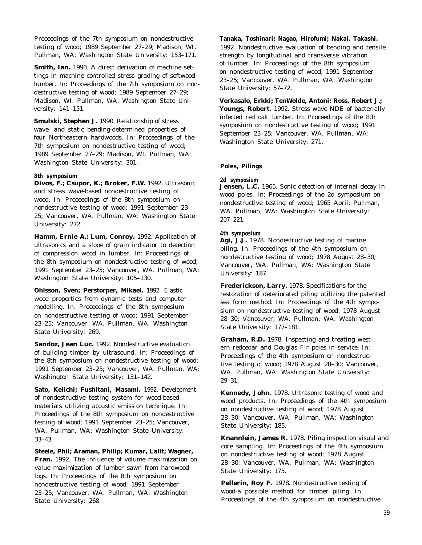Proceedings of the 7th symposium on nondestructive testing of wood; 1989 September 27–29; Madison, WI. Pullman, WA: Washington State University: 153–171.

**Smith, Ian.** 1990. A direct derivation of machine settings in machine controlled stress grading of softwood lumber. In: Proceedings of the 7th symposium on nondestructive testing of wood; 1989 September 27–29; Madison, WI. Pullman, WA: Washington State University: 141–151.

**Smulski, Stephen J.** 1990. Relationship of stress wave- and static bending-determined properties of four Northeastern hardwoods. In: Proceedings of the 7th symposium on nondestructive testing of wood; 1989 September 27–29; Madison, WI. Pullman, WA: Washington State University: 301.

# **8th symposium**

**Divos, F.; Csupor, K.; Broker, F.W.** 1992. Ultrasonic and stress wave-based nondestructive testing of wood. In: Proceedings of the 8th symposium on nondestructive testing of wood; 1991 September 23– 25; Vancouver, WA. Pullman, WA: Washington State University: 272.

**Hamm, Ernie A.; Lum, Conroy.** 1992. Application of ultrasonics and a slope of grain indicator to detection of compression wood in lumber. In: Proceedings of the 8th symposium on nondestructive testing of wood; 1991 September 23–25; Vancouver, WA. Pullman, WA: Washington State University: 105–130.

**Ohlsson, Sven; Perstorper, Mikael.** 1992. Elastic wood properties from dynamic tests and computer modelling. In: Proceedings of the 8th symposium on nondestructive testing of wood; 1991 September 23–25; Vancouver, WA. Pullman, WA: Washington State University: 269.

**Sandoz, Jean Luc.** 1992. Nondestructive evaluation of building timber by ultrasound. In: Proceedings of the 8th symposium on nondestructive testing of wood; 1991 September 23–25; Vancouver, WA. Pullman, WA: Washington State University: 131–142.

**Sato, Keiichi; Fushitani, Masami.** 1992. Development of nondestructive testing system for wood-based materials utilizing acoustic emission technique. In: Proceedings of the 8th symposium on nondestructive testing of wood; 1991 September 23–25; Vancouver, WA. Pullman, WA: Washington State University: 33–43.

**Steele, Phil; Araman, Philip; Kumar, Lalit; Wagner, Fran.** 1992. The influence of volume maximization on value maximization of lumber sawn from hardwood logs. In: Proceedings of the 8th symposium on nondestructive testing of wood; 1991 September 23–25; Vancouver, WA. Pullman, WA: Washington State University: 268.

# **Tanaka, Toshinari; Nagao, Hirofumi; Nakai, Takashi.**

1992. Nondestructive evaluation of bending and tensile strength by longitudinal and transverse vibration of lumber. In: Proceedings of the 8th symposium on nondestructive testing of wood; 1991 September 23–25; Vancouver, WA. Pullman, WA: Washington State University: 57–72.

**Verkasalo, Erkki; TenWolde, Antoni; Ross, Robert J.; Youngs, Robert.** 1992. Stress wave NDE of bacterially infected red oak lumber. In: Proceedings of the 8th symposium on nondestructive testing of wood; 1991 September 23–25; Vancouver, WA. Pullman, WA: Washington State University: 271.

# **Poles, Pilings**

### **2d symposium**

**Jensen, L.C.** 1965. Sonic detection of internal decay in wood poles. In: Proceedings of the 2d symposium on nondestructive testing of wood; 1965 April; Pullman, WA. Pullman, WA: Washington State University: 207–221.

# **4th symposium**

Agi, J.J. 1978. Nondestructive testing of marine piling. In: Proceedings of the 4th symposium on nondestructive testing of wood; 1978 August 28–30; Vancouver, WA. Pullman, WA: Washington State University: 187.

**Frederickson, Larry.** 1978. Specifications for the restoration of deteriorated piling utilizing the patented sea form method. In: Proceedings of the 4th symposium on nondestructive testing of wood; 1978 August 28–30; Vancouver, WA. Pullman, WA: Washington State University: 177–181.

**Graham, R.D.** 1978. Inspecting and treating western redcedar and Douglas Fir poles in service. In: Proceedings of the 4th symposium on nondestructive testing of wood; 1978 August 28–30; Vancouver, WA. Pullman, WA: Washington State University: 29–31.

**Kennedy, John.** 1978. Ultrasonic testing of wood and wood products. In: Proceedings of the 4th symposium on nondestructive testing of wood; 1978 August 28–30; Vancouver, WA. Pullman, WA: Washington State University: 185.

**Knannlein, James R.** 1978. Piling inspection visual and core sampling. In: Proceedings of the 4th symposium on nondestructive testing of wood; 1978 August 28–30; Vancouver, WA. Pullman, WA: Washington State University: 175.

**Pellerin, Roy F.** 1978. Nondestructive testing of wood-a possible method for timber piling. In: Proceedings of the 4th symposium on nondestructive